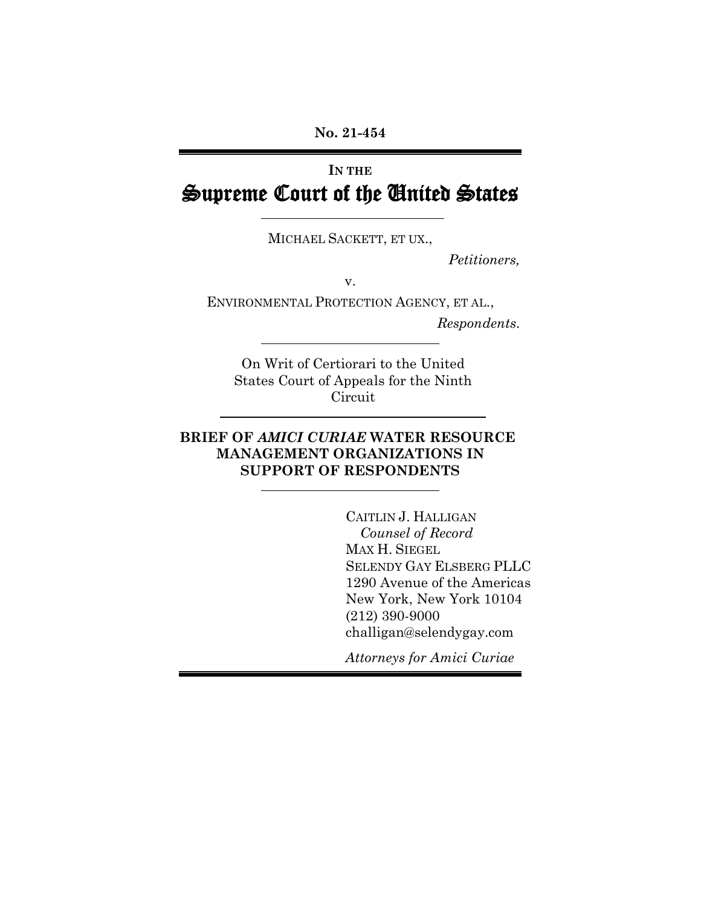# **IN THE** Supreme Court of the United States

MICHAEL SACKETT, ET UX.,

*Petitioners,*

v.

ENVIRONMENTAL PROTECTION AGENCY, ET AL., *Respondents*.

On Writ of Certiorari to the United States Court of Appeals for the Ninth **Circuit** 

## **BRIEF OF** *AMICI CURIAE* **WATER RESOURCE MANAGEMENT ORGANIZATIONS IN SUPPORT OF RESPONDENTS**

CAITLIN J. HALLIGAN *Counsel of Record* MAX H. SIEGEL SELENDY GAY ELSBERG PLLC 1290 Avenue of the Americas New York, New York 10104 (212) 390-9000 challigan@selendygay.com

*Attorneys for Amici Curiae*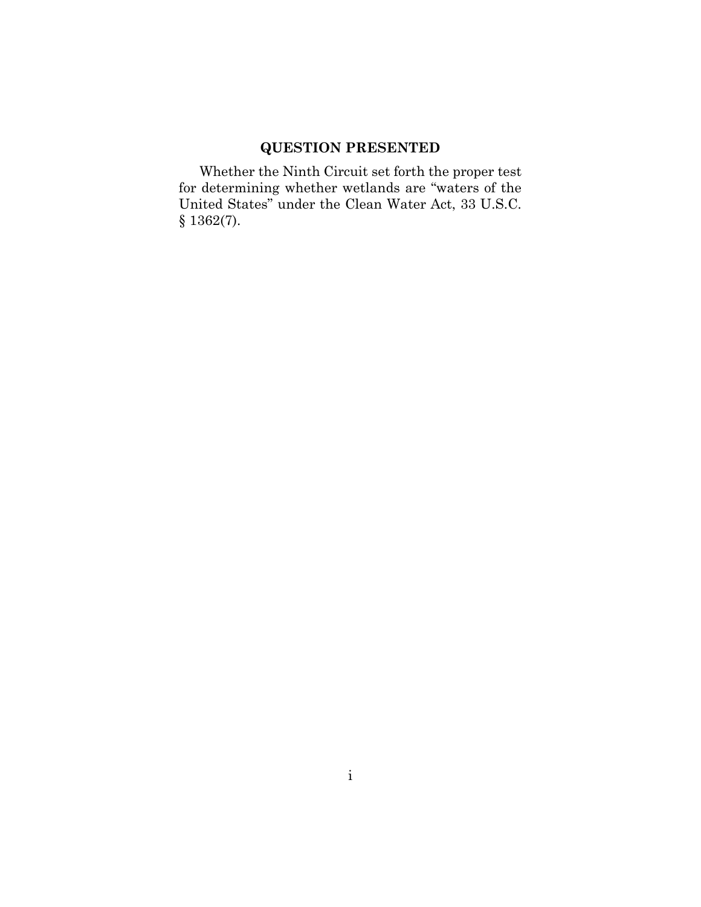## **QUESTION PRESENTED**

<span id="page-1-0"></span>Whether the Ninth Circuit set forth the proper test for determining whether wetlands are "waters of the United States" under the Clean Water Act, 33 U.S.C. § 1362(7).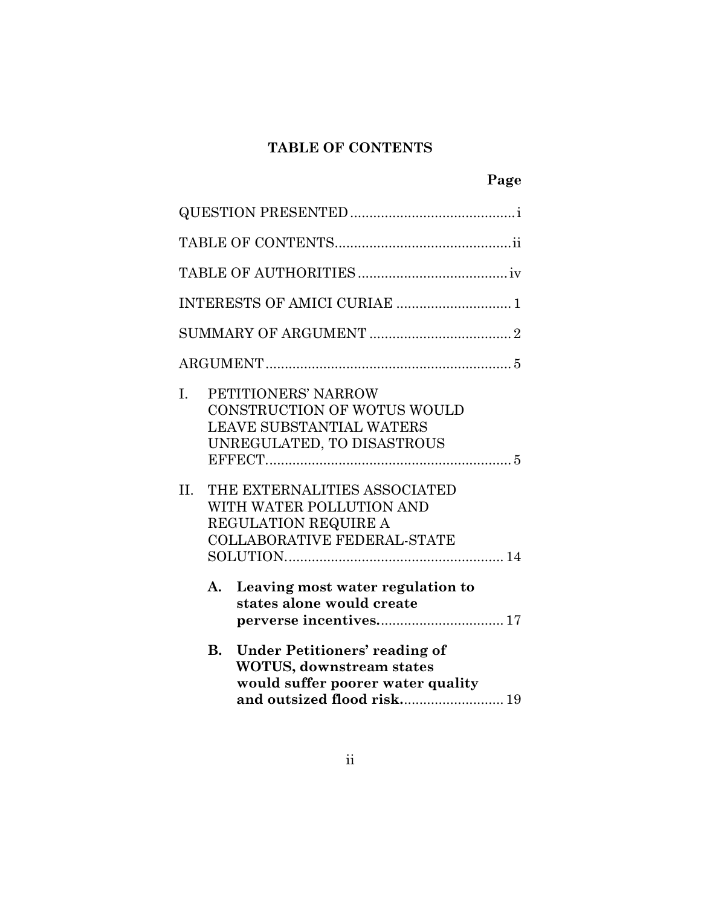## **TABLE OF CONTENTS**

<span id="page-2-0"></span>

|           |    | INTERESTS OF AMICI CURIAE  1                                                                                                                        |
|-----------|----|-----------------------------------------------------------------------------------------------------------------------------------------------------|
|           |    |                                                                                                                                                     |
|           |    |                                                                                                                                                     |
| L.<br>II. |    | PETITIONERS' NARROW<br>CONSTRUCTION OF WOTUS WOULD<br><b>LEAVE SUBSTANTIAL WATERS</b><br>UNREGULATED, TO DISASTROUS<br>THE EXTERNALITIES ASSOCIATED |
|           |    | WITH WATER POLLUTION AND<br>REGULATION REQUIRE A<br><b>COLLABORATIVE FEDERAL-STATE</b>                                                              |
|           | A. | Leaving most water regulation to<br>states alone would create                                                                                       |
|           | В. | <b>Under Petitioners' reading of</b><br><b>WOTUS, downstream states</b><br>would suffer poorer water quality<br>and outsized flood risk 19          |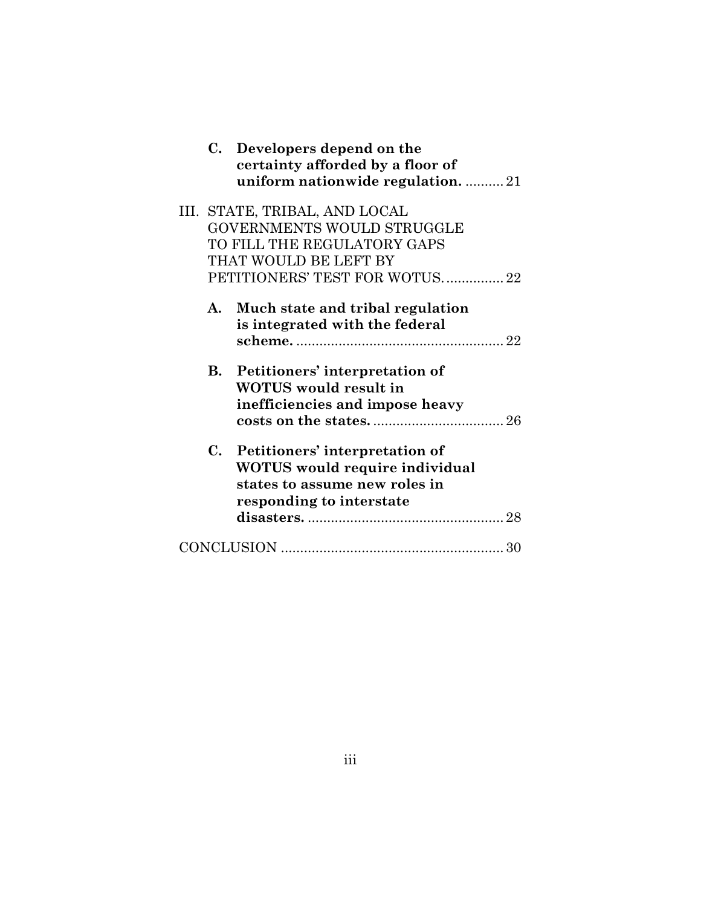|    | C. Developers depend on the<br>certainty afforded by a floor of<br>uniform nationwide regulation21 |  |
|----|----------------------------------------------------------------------------------------------------|--|
|    | III. STATE, TRIBAL, AND LOCAL                                                                      |  |
|    | GOVERNMENTS WOULD STRUGGLE                                                                         |  |
|    | TO FILL THE REGULATORY GAPS                                                                        |  |
|    | THAT WOULD BE LEFT BY                                                                              |  |
|    | PETITIONERS' TEST FOR WOTUS 22                                                                     |  |
| A. | Much state and tribal regulation<br>is integrated with the federal                                 |  |
|    |                                                                                                    |  |
|    | <b>B.</b> Petitioners' interpretation of                                                           |  |
|    | <b>WOTUS</b> would result in                                                                       |  |
|    | inefficiencies and impose heavy                                                                    |  |
|    |                                                                                                    |  |
|    | C. Petitioners' interpretation of                                                                  |  |
|    | <b>WOTUS</b> would require individual                                                              |  |
|    | states to assume new roles in                                                                      |  |
|    | responding to interstate                                                                           |  |
|    |                                                                                                    |  |
|    |                                                                                                    |  |
|    |                                                                                                    |  |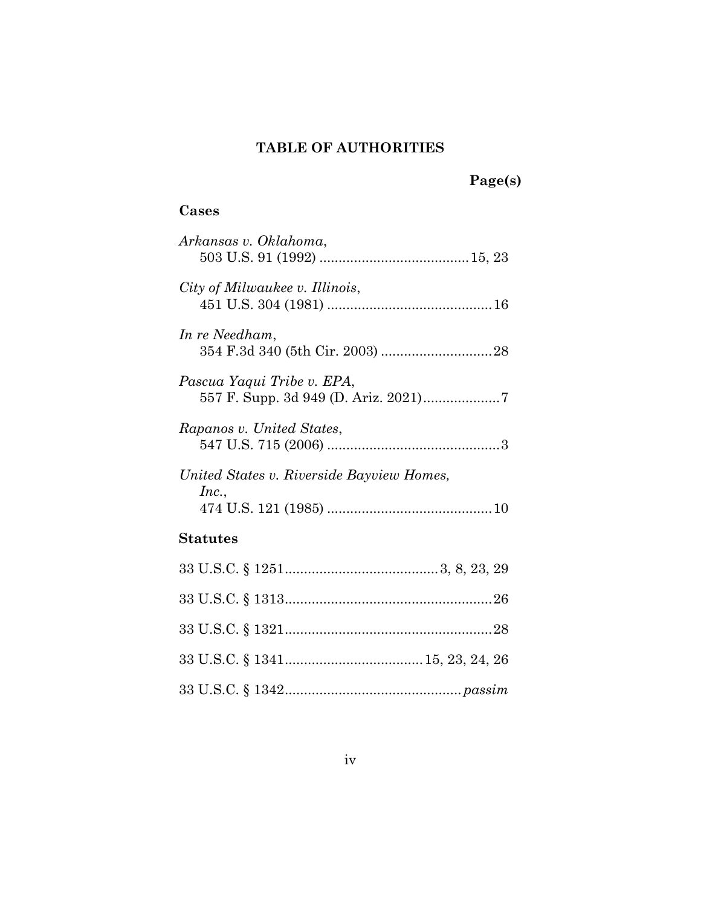## **TABLE OF AUTHORITIES**

## **Page(s)**

## <span id="page-4-0"></span>**Cases**

| Arkansas v. Oklahoma,                              |
|----------------------------------------------------|
| City of Milwaukee v. Illinois,                     |
| In re Needham,                                     |
| Pascua Yaqui Tribe v. EPA,                         |
| Rapanos v. United States,                          |
| United States v. Riverside Bayview Homes,<br>Inc., |
| Statutes                                           |
|                                                    |
|                                                    |
|                                                    |
|                                                    |
|                                                    |

33 U.S.C. § 1342.............................................. *[passim](#page-19-1)*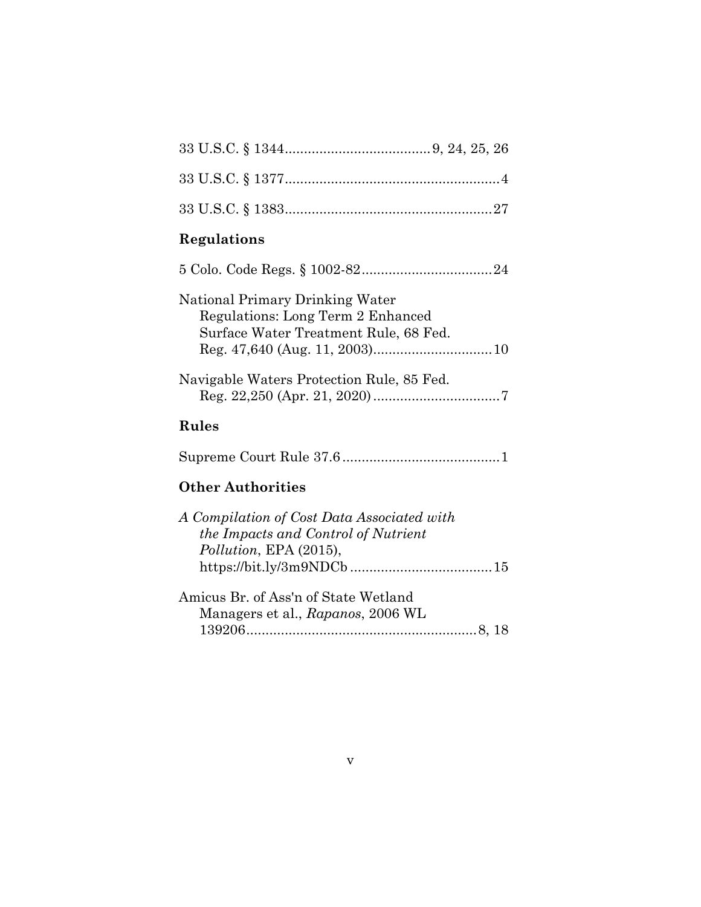| Regulations                                                                                                   |
|---------------------------------------------------------------------------------------------------------------|
|                                                                                                               |
| National Primary Drinking Water<br>Regulations: Long Term 2 Enhanced<br>Surface Water Treatment Rule, 68 Fed. |
| Navigable Waters Protection Rule, 85 Fed.                                                                     |
| <b>Rules</b>                                                                                                  |
|                                                                                                               |
| <b>Other Authorities</b>                                                                                      |
| A Compilation of Cost Data Associated with<br>the Impacts and Control of Nutrient<br>Pollution, EPA (2015),   |
| Amicus Br. of Ass'n of State Wetland<br>Managers et al., Rapanos, 2006 WL                                     |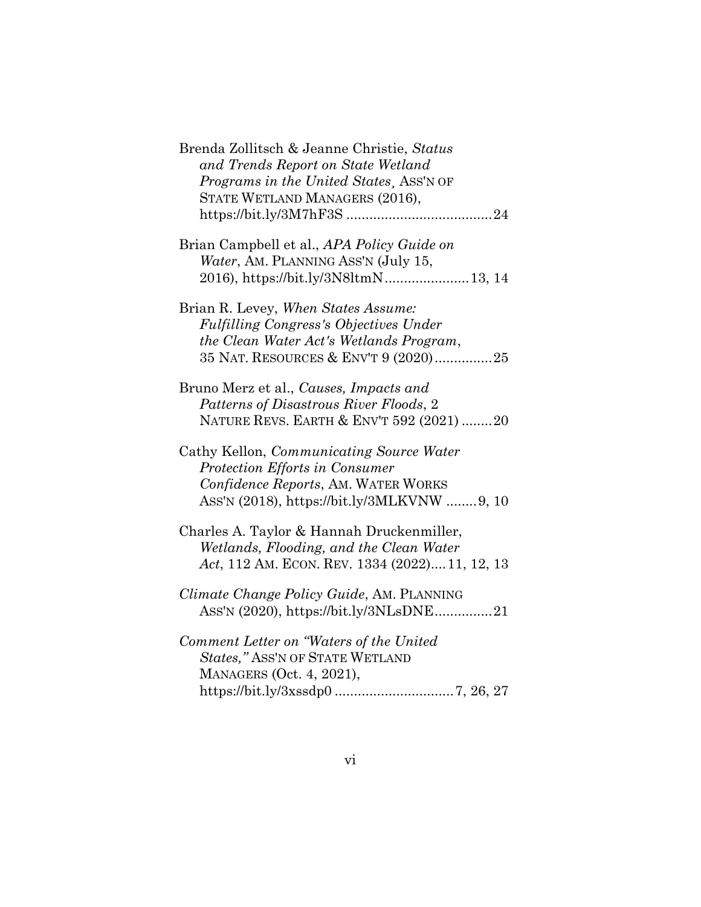| Brenda Zollitsch & Jeanne Christie, Status<br>and Trends Report on State Wetland<br>Programs in the United States, ASS'N OF<br>STATE WETLAND MANAGERS (2016),           |
|-------------------------------------------------------------------------------------------------------------------------------------------------------------------------|
| Brian Campbell et al., APA Policy Guide on<br>Water, AM. PLANNING ASS'N (July 15,                                                                                       |
| Brian R. Levey, When States Assume:<br><b>Fulfilling Congress's Objectives Under</b><br>the Clean Water Act's Wetlands Program,<br>35 NAT. RESOURCES & ENV'T 9 (2020)25 |
| Bruno Merz et al., Causes, Impacts and<br>Patterns of Disastrous River Floods, 2<br>NATURE REVS. EARTH & ENV'T 592 (2021) 20                                            |
| Cathy Kellon, <i>Communicating Source Water</i><br>Protection Efforts in Consumer<br>Confidence Reports, AM. WATER WORKS<br>ASS'N (2018), https://bit.ly/3MLKVNW 9, 10  |
| Charles A. Taylor & Hannah Druckenmiller,<br>Wetlands, Flooding, and the Clean Water<br>Act, 112 AM. ECON. REV. 1334 (2022) 11, 12, 13                                  |
| Climate Change Policy Guide, AM. PLANNING<br>ASS'N (2020), https://bit.ly/3NLsDNE21                                                                                     |
| Comment Letter on "Waters of the United<br>States," ASS'N OF STATE WETLAND<br>MANAGERS (Oct. 4, 2021),                                                                  |
|                                                                                                                                                                         |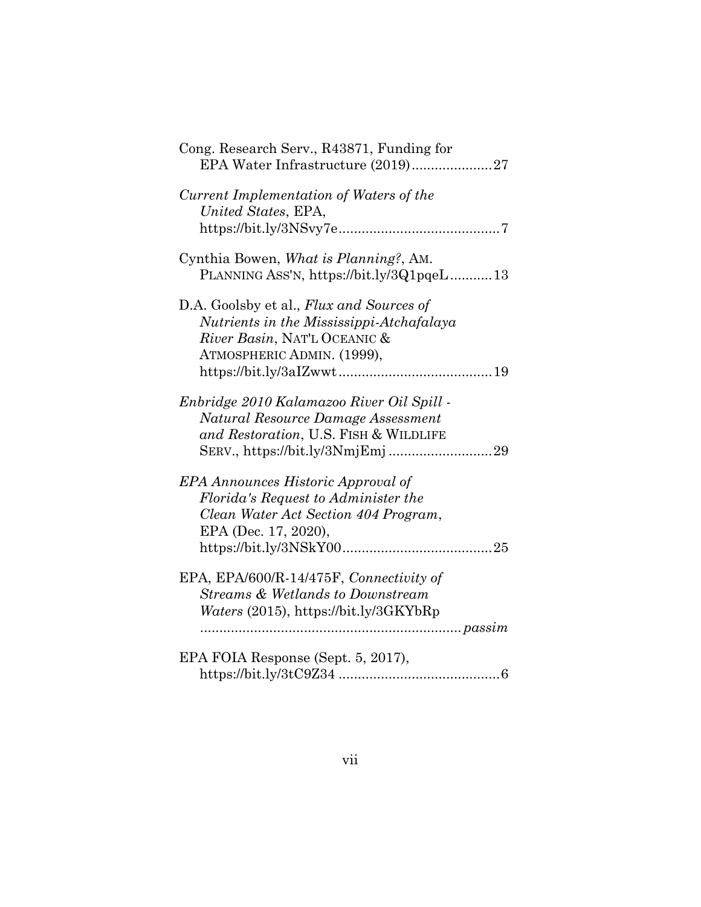| Cong. Research Serv., R43871, Funding for                                                                                                                                      |
|--------------------------------------------------------------------------------------------------------------------------------------------------------------------------------|
| Current Implementation of Waters of the<br>United States, EPA,                                                                                                                 |
|                                                                                                                                                                                |
| Cynthia Bowen, What is Planning?, AM.<br>PLANNING ASS'N, https://bit.ly/3Q1pqeL13                                                                                              |
| D.A. Goolsby et al., Flux and Sources of<br>Nutrients in the Mississippi-Atchafalaya<br>River Basin, NAT'L OCEANIC &<br>ATMOSPHERIC ADMIN. (1999),                             |
| Enbridge 2010 Kalamazoo River Oil Spill -<br>Natural Resource Damage Assessment<br>and Restoration, U.S. FISH & WILDLIFE                                                       |
| <b>EPA Announces Historic Approval of</b><br>Florida's Request to Administer the<br>Clean Water Act Section 404 Program,<br>EPA (Dec. 17, 2020),<br>$https://bit.ly/3NSkY0025$ |
| EPA, EPA/600/R-14/475F, Connectivity of<br><b>Streams &amp; Wetlands to Downstream</b><br>Waters (2015), https://bit.ly/3GKYbRp                                                |
| EPA FOIA Response (Sept. 5, 2017),                                                                                                                                             |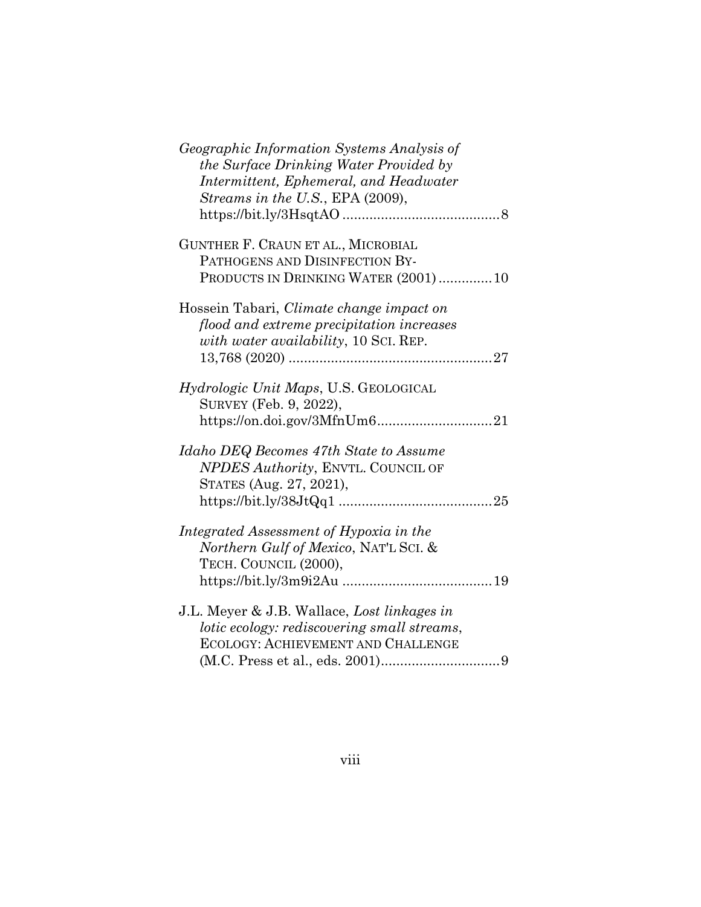| Geographic Information Systems Analysis of<br>the Surface Drinking Water Provided by<br>Intermittent, Ephemeral, and Headwater<br>Streams in the U.S., EPA (2009), |  |
|--------------------------------------------------------------------------------------------------------------------------------------------------------------------|--|
| GUNTHER F. CRAUN ET AL., MICROBIAL<br>PATHOGENS AND DISINFECTION BY-<br>PRODUCTS IN DRINKING WATER (2001) 10                                                       |  |
| Hossein Tabari, Climate change impact on<br>flood and extreme precipitation increases<br>with water availability, 10 SCI. REP.                                     |  |
| <i>Hydrologic Unit Maps</i> , U.S. GEOLOGICAL<br>SURVEY (Feb. 9, 2022),                                                                                            |  |
| Idaho DEQ Becomes 47th State to Assume<br>NPDES Authority, ENVTL. COUNCIL OF<br>STATES (Aug. 27, 2021),                                                            |  |
| Integrated Assessment of Hypoxia in the<br>Northern Gulf of Mexico, NAT'L SCI. &<br>TECH. COUNCIL (2000),                                                          |  |
| J.L. Meyer & J.B. Wallace, Lost linkages in<br>lotic ecology: rediscovering small streams,<br>ECOLOGY: ACHIEVEMENT AND CHALLENGE                                   |  |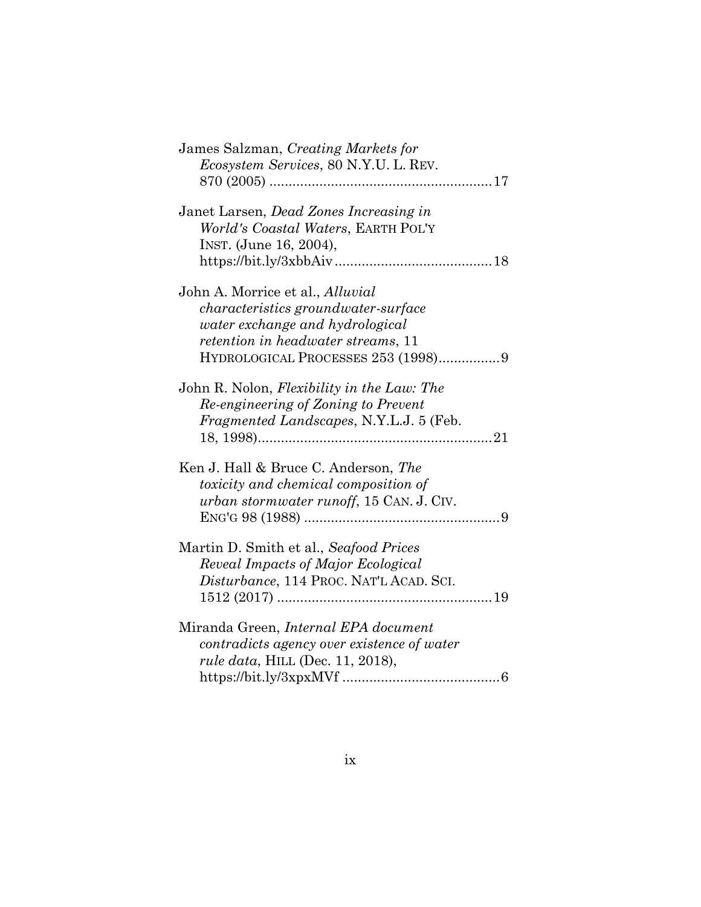| James Salzman, Creating Markets for<br><i>Ecosystem Services, 80 N.Y.U. L. REV.</i>                                                                                                                  |  |
|------------------------------------------------------------------------------------------------------------------------------------------------------------------------------------------------------|--|
| Janet Larsen, Dead Zones Increasing in<br>World's Coastal Waters, EARTH POL'Y<br>INST. (June 16, 2004),                                                                                              |  |
| John A. Morrice et al., <i>Alluvial</i><br><i>characteristics groundwater-surface</i><br>water exchange and hydrological<br>retention in headwater streams, 11<br>HYDROLOGICAL PROCESSES 253 (1998)9 |  |
| John R. Nolon, Flexibility in the Law: The<br>Re-engineering of Zoning to Prevent<br>Fragmented Landscapes, N.Y.L.J. 5 (Feb.                                                                         |  |
| Ken J. Hall & Bruce C. Anderson, The<br>toxicity and chemical composition of<br>urban stormwater runoff, 15 CAN. J. CIV.                                                                             |  |
| Martin D. Smith et al., Seafood Prices<br>Reveal Impacts of Major Ecological<br>Disturbance, 114 PROC. NAT'L ACAD. SCI.                                                                              |  |
| Miranda Green, <i>Internal EPA</i> document<br>contradicts agency over existence of water<br><i>rule data</i> , HILL (Dec. 11, 2018),                                                                |  |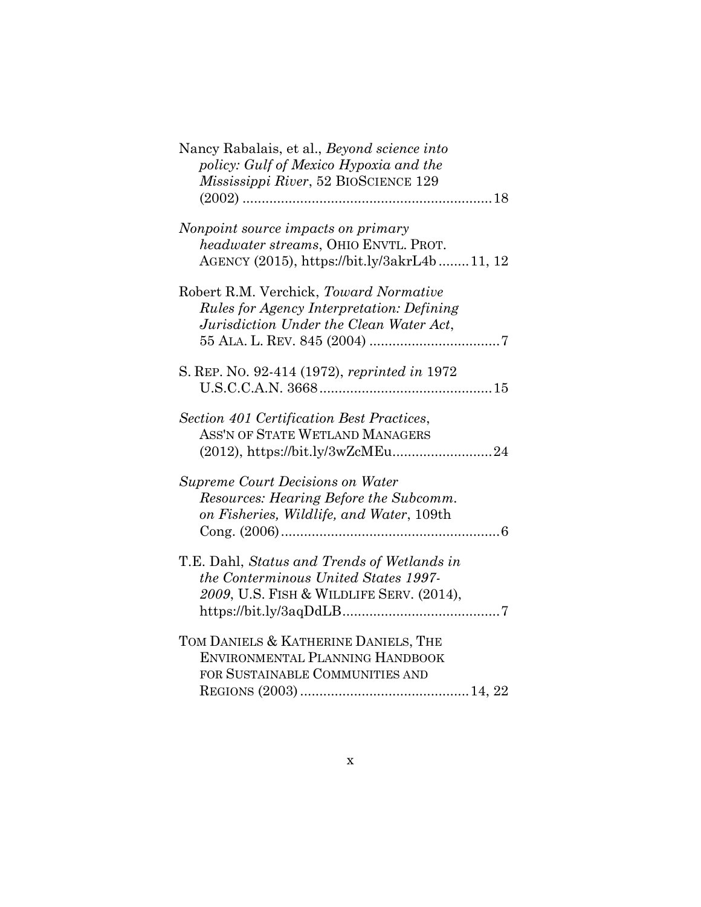| Nancy Rabalais, et al., Beyond science into<br>policy: Gulf of Mexico Hypoxia and the<br>Mississippi River, 52 BIOSCIENCE 129         |
|---------------------------------------------------------------------------------------------------------------------------------------|
|                                                                                                                                       |
| Nonpoint source impacts on primary<br>headwater streams, OHIO ENVTL. PROT.<br>AGENCY (2015), https://bit.ly/3akrL4b11, 12             |
| Robert R.M. Verchick, Toward Normative<br><i>Rules for Agency Interpretation: Defining</i><br>Jurisdiction Under the Clean Water Act, |
| S. REP. No. 92-414 (1972), reprinted in 1972                                                                                          |
| Section 401 Certification Best Practices,<br>ASS'N OF STATE WETLAND MANAGERS<br>(2012), https://bit.ly/3wZcMEu24                      |
| <b>Supreme Court Decisions on Water</b><br>Resources: Hearing Before the Subcomm.<br>on Fisheries, Wildlife, and Water, 109th         |
| T.E. Dahl, Status and Trends of Wetlands in<br>the Conterminous United States 1997-<br>2009, U.S. FISH & WILDLIFE SERV. (2014),       |
| TOM DANIELS & KATHERINE DANIELS, THE<br>ENVIRONMENTAL PLANNING HANDBOOK<br>FOR SUSTAINABLE COMMUNITIES AND                            |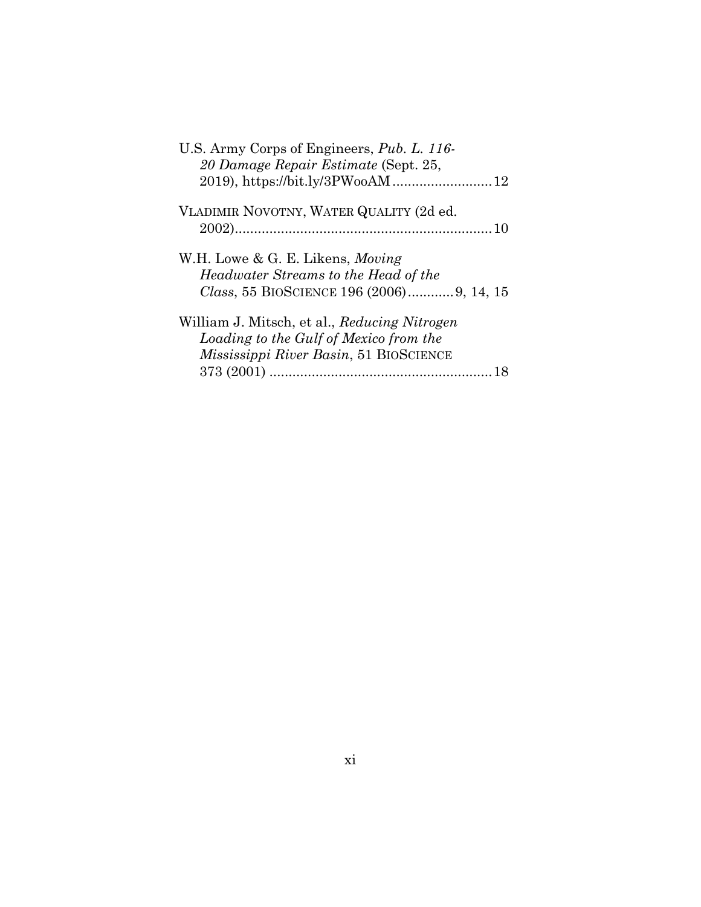| U.S. Army Corps of Engineers, Pub. L. 116-   |
|----------------------------------------------|
| 20 Damage Repair Estimate (Sept. 25,         |
| 2019), https://bit.ly/3PWooAM12              |
| VLADIMIR NOVOTNY, WATER QUALITY (2d ed.      |
|                                              |
| W.H. Lowe & G. E. Likens, <i>Moving</i>      |
| Headwater Streams to the Head of the         |
| Class, 55 BIOSCIENCE 196 (2006) 9, 14, 15    |
| William J. Mitsch, et al., Reducing Nitrogen |
| Loading to the Gulf of Mexico from the       |
| Mississippi River Basin, 51 BIOSCIENCE       |
|                                              |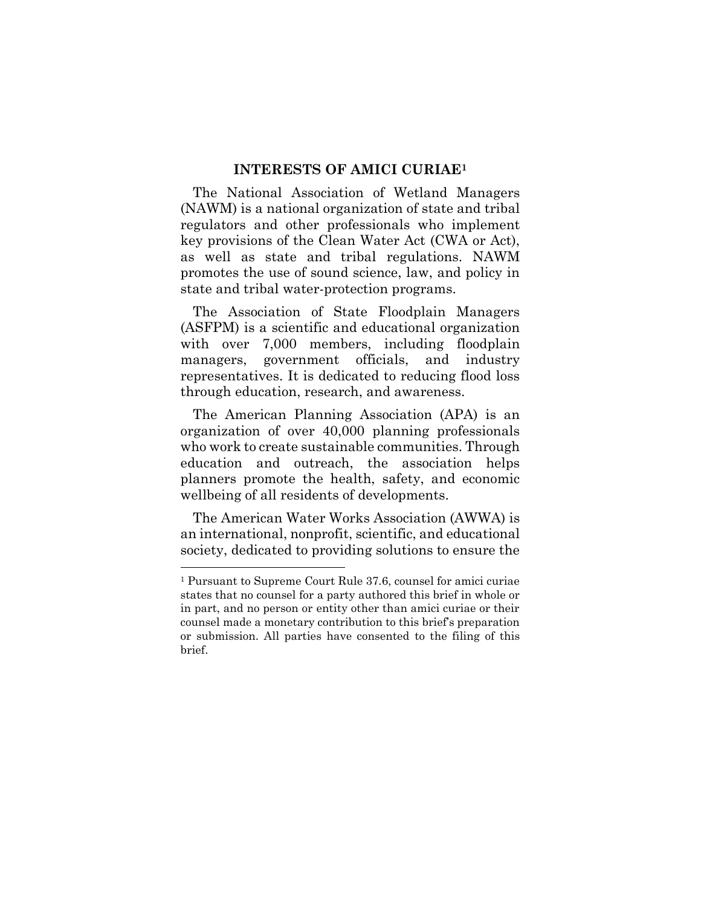#### **INTERESTS OF AMICI CURIAE<sup>1</sup>**

<span id="page-12-0"></span>The National Association of Wetland Managers (NAWM) is a national organization of state and tribal regulators and other professionals who implement key provisions of the Clean Water Act (CWA or Act), as well as state and tribal regulations. NAWM promotes the use of sound science, law, and policy in state and tribal water-protection programs.

The Association of State Floodplain Managers (ASFPM) is a scientific and educational organization with over 7,000 members, including floodplain managers, government officials, and industry representatives. It is dedicated to reducing flood loss through education, research, and awareness.

The American Planning Association (APA) is an organization of over 40,000 planning professionals who work to create sustainable communities. Through education and outreach, the association helps planners promote the health, safety, and economic wellbeing of all residents of developments.

The American Water Works Association (AWWA) is an international, nonprofit, scientific, and educational society, dedicated to providing solutions to ensure the

<span id="page-12-1"></span><sup>1</sup> Pursuant to Supreme Court Rule 37.6, counsel for amici curiae states that no counsel for a party authored this brief in whole or in part, and no person or entity other than amici curiae or their counsel made a monetary contribution to this brief's preparation or submission. All parties have consented to the filing of this brief.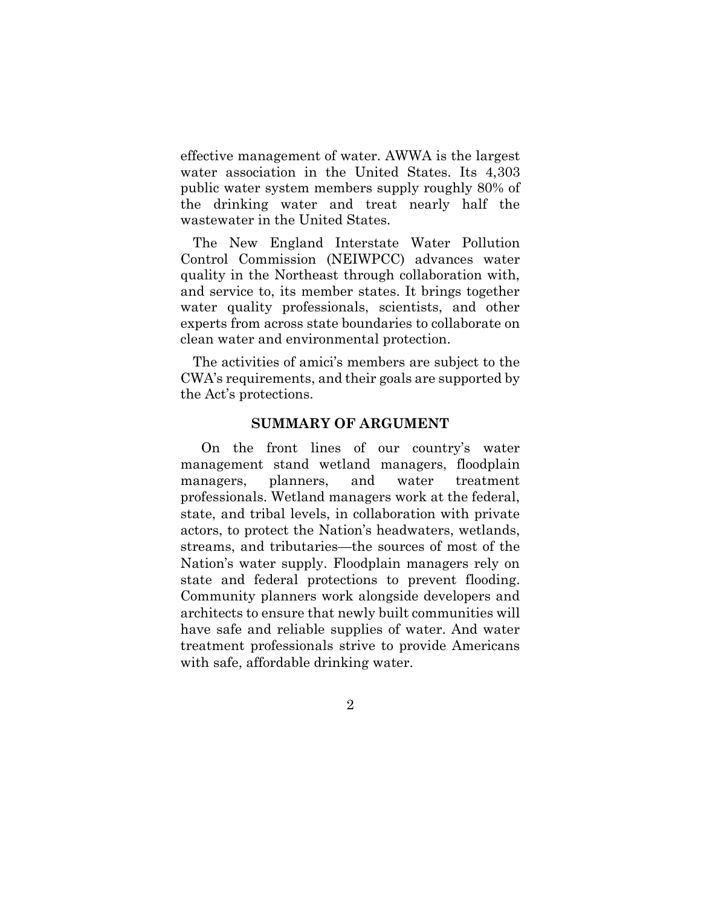effective management of water. AWWA is the largest water association in the United States. Its 4,303 public water system members supply roughly 80% of the drinking water and treat nearly half the wastewater in the United States.

The New England Interstate Water Pollution Control Commission (NEIWPCC) advances water quality in the Northeast through collaboration with, and service to, its member states. It brings together water quality professionals, scientists, and other experts from across state boundaries to collaborate on clean water and environmental protection.

The activities of amici's members are subject to the CWA's requirements, and their goals are supported by the Act's protections.

#### **SUMMARY OF ARGUMENT**

<span id="page-13-0"></span>On the front lines of our country's water management stand wetland managers, floodplain managers, planners, and water treatment professionals. Wetland managers work at the federal, state, and tribal levels, in collaboration with private actors, to protect the Nation's headwaters, wetlands, streams, and tributaries—the sources of most of the Nation's water supply. Floodplain managers rely on state and federal protections to prevent flooding. Community planners work alongside developers and architects to ensure that newly built communities will have safe and reliable supplies of water. And water treatment professionals strive to provide Americans with safe, affordable drinking water.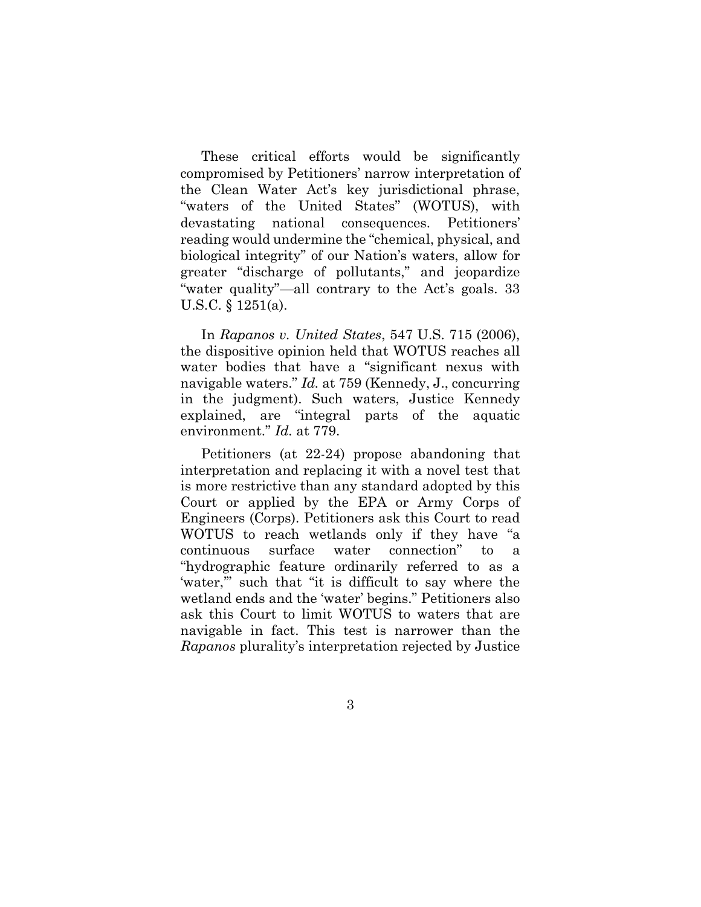These critical efforts would be significantly compromised by Petitioners' narrow interpretation of the Clean Water Act's key jurisdictional phrase, "waters of the United States" (WOTUS), with devastating national consequences. Petitioners' reading would undermine the "chemical, physical, and biological integrity" of our Nation's waters, allow for greater "discharge of pollutants," and jeopardize "water quality"—all contrary to the Act's goals. 33 U.S.C. § 1251(a).

<span id="page-14-1"></span><span id="page-14-0"></span>In *Rapanos v. United States*, 547 U.S. 715 (2006), the dispositive opinion held that WOTUS reaches all water bodies that have a "significant nexus with navigable waters." *Id.* at 759 (Kennedy, J., concurring in the judgment). Such waters, Justice Kennedy explained, are "integral parts of the aquatic environment." *Id.* at 779.

Petitioners (at 22-24) propose abandoning that interpretation and replacing it with a novel test that is more restrictive than any standard adopted by this Court or applied by the EPA or Army Corps of Engineers (Corps). Petitioners ask this Court to read WOTUS to reach wetlands only if they have "a continuous surface water connection" to a "hydrographic feature ordinarily referred to as a 'water,'" such that "it is difficult to say where the wetland ends and the 'water' begins." Petitioners also ask this Court to limit WOTUS to waters that are navigable in fact. This test is narrower than the *Rapanos* plurality's interpretation rejected by Justice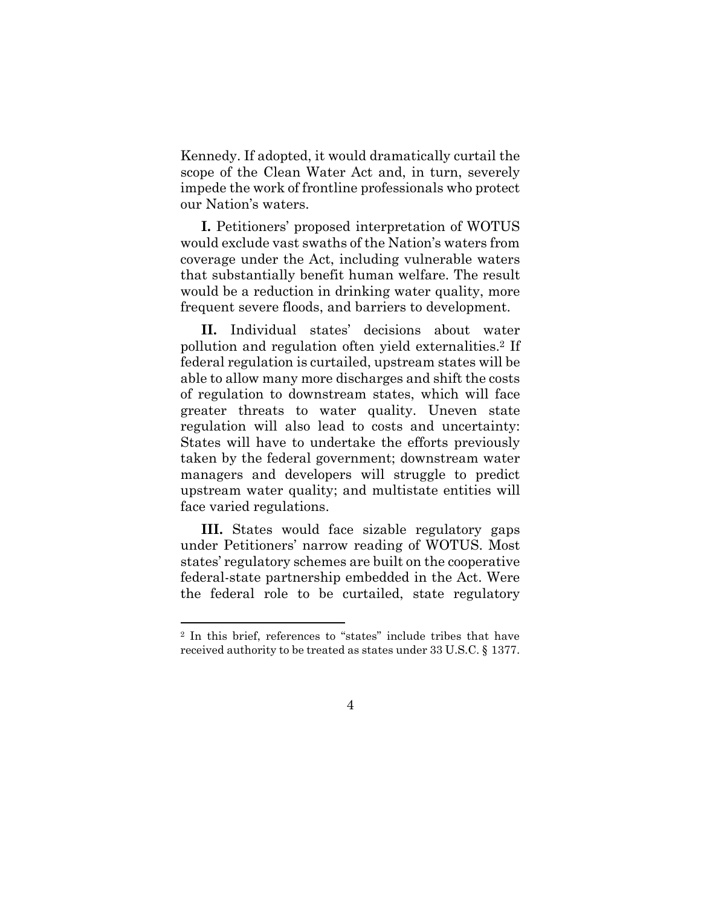Kennedy. If adopted, it would dramatically curtail the scope of the Clean Water Act and, in turn, severely impede the work of frontline professionals who protect our Nation's waters.

**I.** Petitioners' proposed interpretation of WOTUS would exclude vast swaths of the Nation's waters from coverage under the Act, including vulnerable waters that substantially benefit human welfare. The result would be a reduction in drinking water quality, more frequent severe floods, and barriers to development.

**II.** Individual states' decisions about water pollution and regulation often yield externalities.<sup>2</sup> If federal regulation is curtailed, upstream states will be able to allow many more discharges and shift the costs of regulation to downstream states, which will face greater threats to water quality. Uneven state regulation will also lead to costs and uncertainty: States will have to undertake the efforts previously taken by the federal government; downstream water managers and developers will struggle to predict upstream water quality; and multistate entities will face varied regulations.

**III.** States would face sizable regulatory gaps under Petitioners' narrow reading of WOTUS. Most states' regulatory schemes are built on the cooperative federal-state partnership embedded in the Act. Were the federal role to be curtailed, state regulatory

<sup>2</sup> In this brief, references to "states" include tribes that have received authority to be treated as states under 33 U.S.C. § 1377.

<span id="page-15-0"></span><sup>4</sup>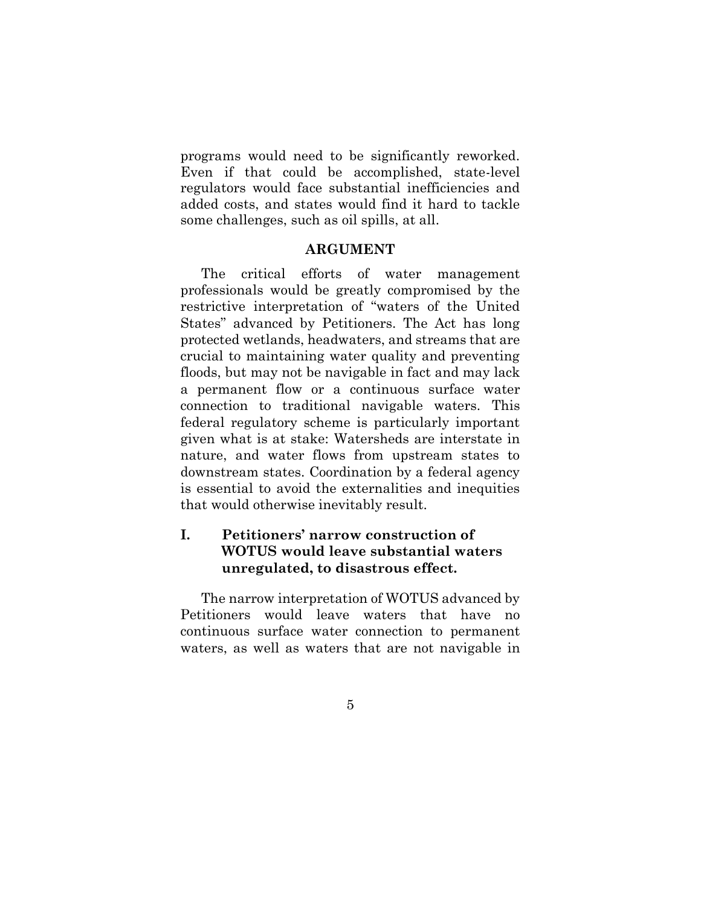programs would need to be significantly reworked. Even if that could be accomplished, state-level regulators would face substantial inefficiencies and added costs, and states would find it hard to tackle some challenges, such as oil spills, at all.

#### **ARGUMENT**

<span id="page-16-0"></span>The critical efforts of water management professionals would be greatly compromised by the restrictive interpretation of "waters of the United States" advanced by Petitioners. The Act has long protected wetlands, headwaters, and streams that are crucial to maintaining water quality and preventing floods, but may not be navigable in fact and may lack a permanent flow or a continuous surface water connection to traditional navigable waters. This federal regulatory scheme is particularly important given what is at stake: Watersheds are interstate in nature, and water flows from upstream states to downstream states. Coordination by a federal agency is essential to avoid the externalities and inequities that would otherwise inevitably result.

## <span id="page-16-1"></span>**I. Petitioners' narrow construction of WOTUS would leave substantial waters unregulated, to disastrous effect.**

The narrow interpretation of WOTUS advanced by Petitioners would leave waters that have no continuous surface water connection to permanent waters, as well as waters that are not navigable in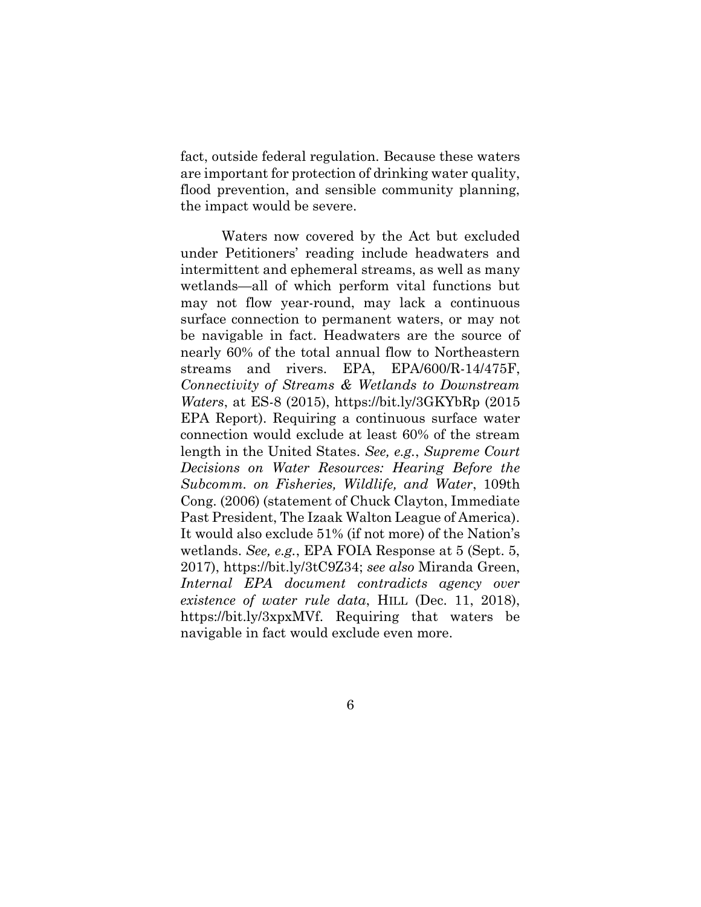fact, outside federal regulation. Because these waters are important for protection of drinking water quality, flood prevention, and sensible community planning, the impact would be severe.

<span id="page-17-3"></span><span id="page-17-2"></span><span id="page-17-1"></span><span id="page-17-0"></span>Waters now covered by the Act but excluded under Petitioners' reading include headwaters and intermittent and ephemeral streams, as well as many wetlands—all of which perform vital functions but may not flow year-round, may lack a continuous surface connection to permanent waters, or may not be navigable in fact. Headwaters are the source of nearly 60% of the total annual flow to Northeastern streams and rivers. EPA, EPA/600/R-14/475F, *Connectivity of Streams & Wetlands to Downstream Waters*, at ES-8 (2015), https://bit.ly/3GKYbRp (2015 EPA Report). Requiring a continuous surface water connection would exclude at least 60% of the stream length in the United States. *See, e.g.*, *Supreme Court Decisions on Water Resources: Hearing Before the Subcomm. on Fisheries, Wildlife, and Water*, 109th Cong. (2006) (statement of Chuck Clayton, Immediate Past President, The Izaak Walton League of America). It would also exclude 51% (if not more) of the Nation's wetlands. *See, e.g.*, EPA FOIA Response at 5 (Sept. 5, 2017), https://bit.ly/3tC9Z34; *see also* Miranda Green, *Internal EPA document contradicts agency over existence of water rule data*, HILL (Dec. 11, 2018), https://bit.ly/3xpxMVf. Requiring that waters be navigable in fact would exclude even more.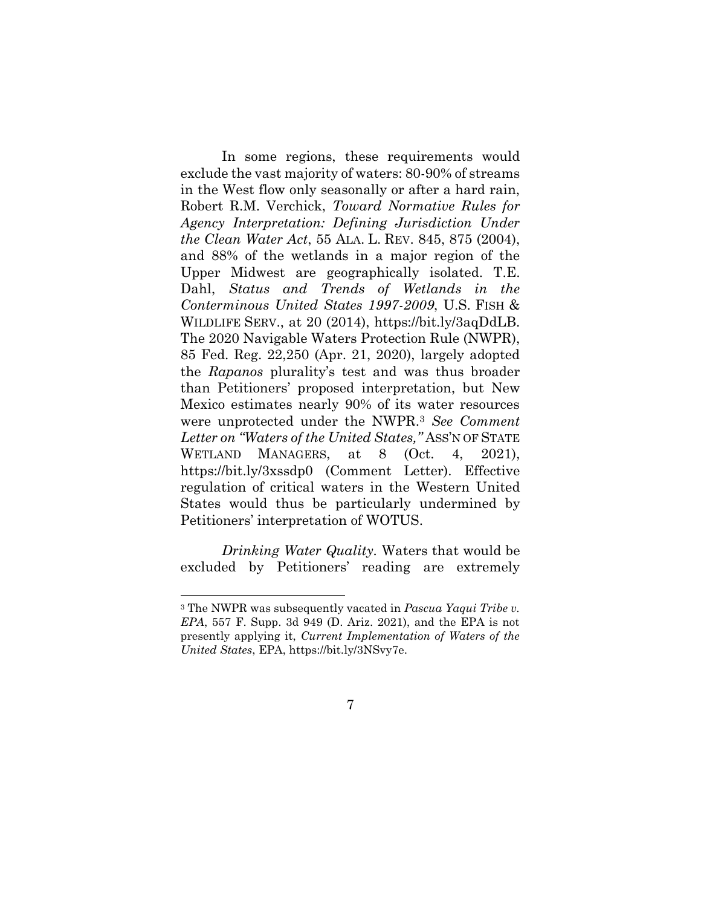<span id="page-18-5"></span><span id="page-18-4"></span><span id="page-18-1"></span>In some regions, these requirements would exclude the vast majority of waters: 80-90% of streams in the West flow only seasonally or after a hard rain, Robert R.M. Verchick, *Toward Normative Rules for Agency Interpretation: Defining Jurisdiction Under the Clean Water Act*, 55 ALA. L. REV. 845, 875 (2004), and 88% of the wetlands in a major region of the Upper Midwest are geographically isolated. T.E. Dahl, *Status and Trends of Wetlands in the Conterminous United States 1997-2009*, U.S. FISH & WILDLIFE SERV., at 20 (2014), https://bit.ly/3aqDdLB. The 2020 Navigable Waters Protection Rule (NWPR), 85 Fed. Reg. 22,250 (Apr. 21, 2020), largely adopted the *Rapanos* plurality's test and was thus broader than Petitioners' proposed interpretation, but New Mexico estimates nearly 90% of its water resources were unprotected under the NWPR.<sup>3</sup> *See Comment Letter on "Waters of the United States,"* ASS'N OF STATE WETLAND MANAGERS, at 8 (Oct. 4, 2021), https://bit.ly/3xssdp0 (Comment Letter). Effective regulation of critical waters in the Western United States would thus be particularly undermined by Petitioners' interpretation of WOTUS.

*Drinking Water Quality.* Waters that would be excluded by Petitioners' reading are extremely

<sup>3</sup> The NWPR was subsequently vacated in *Pascua Yaqui Tribe v. EPA*, 557 F. Supp. 3d 949 (D. Ariz. 2021), and the EPA is not presently applying it, *Current Implementation of Waters of the United States*, EPA, https://bit.ly/3NSvy7e.

<span id="page-18-3"></span><span id="page-18-2"></span><span id="page-18-0"></span><sup>7</sup>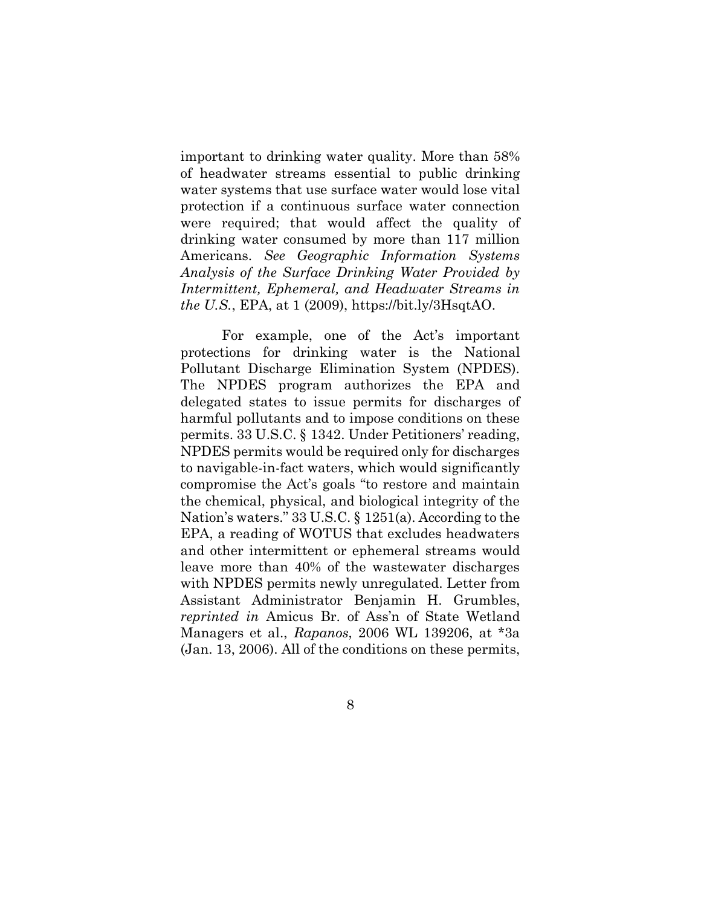important to drinking water quality. More than 58% of headwater streams essential to public drinking water systems that use surface water would lose vital protection if a continuous surface water connection were required; that would affect the quality of drinking water consumed by more than 117 million Americans. *See Geographic Information Systems Analysis of the Surface Drinking Water Provided by Intermittent, Ephemeral, and Headwater Streams in the U.S.*, EPA, at 1 (2009), https://bit.ly/3HsqtAO.

<span id="page-19-3"></span><span id="page-19-2"></span><span id="page-19-1"></span><span id="page-19-0"></span>For example, one of the Act's important protections for drinking water is the National Pollutant Discharge Elimination System (NPDES). The NPDES program authorizes the EPA and delegated states to issue permits for discharges of harmful pollutants and to impose conditions on these permits. 33 U.S.C. § 1342. Under Petitioners' reading, NPDES permits would be required only for discharges to navigable-in-fact waters, which would significantly compromise the Act's goals "to restore and maintain the chemical, physical, and biological integrity of the Nation's waters." 33 U.S.C. § 1251(a). According to the EPA, a reading of WOTUS that excludes headwaters and other intermittent or ephemeral streams would leave more than 40% of the wastewater discharges with NPDES permits newly unregulated. Letter from Assistant Administrator Benjamin H. Grumbles, *reprinted in* Amicus Br. of Ass'n of State Wetland Managers et al., *Rapanos*, 2006 WL 139206, at \*3a (Jan. 13, 2006). All of the conditions on these permits,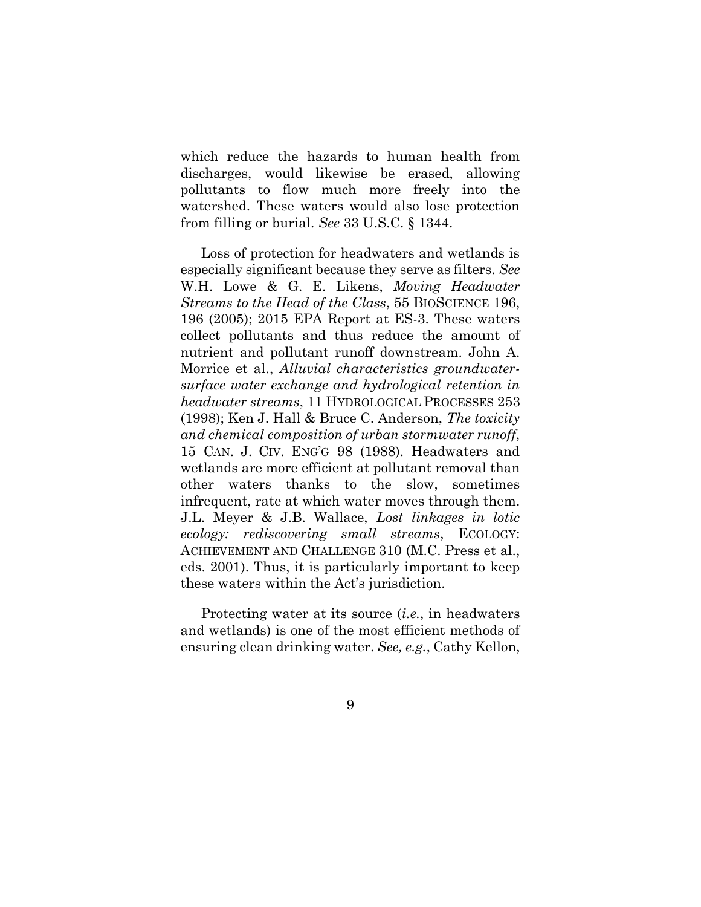which reduce the hazards to human health from discharges, would likewise be erased, allowing pollutants to flow much more freely into the watershed. These waters would also lose protection from filling or burial. *See* 33 U.S.C. § 1344.

<span id="page-20-5"></span><span id="page-20-4"></span><span id="page-20-3"></span><span id="page-20-0"></span>Loss of protection for headwaters and wetlands is especially significant because they serve as filters. *See* W.H. Lowe & G. E. Likens, *Moving Headwater Streams to the Head of the Class*, 55 BIOSCIENCE 196, 196 (2005); 2015 EPA Report at ES-3. These waters collect pollutants and thus reduce the amount of nutrient and pollutant runoff downstream. John A. Morrice et al., *Alluvial characteristics groundwatersurface water exchange and hydrological retention in headwater streams*, 11 HYDROLOGICAL PROCESSES 253 (1998); Ken J. Hall & Bruce C. Anderson, *The toxicity and chemical composition of urban stormwater runoff*, 15 CAN. J. CIV. ENG'G 98 (1988). Headwaters and wetlands are more efficient at pollutant removal than other waters thanks to the slow, sometimes infrequent, rate at which water moves through them. J.L. Meyer & J.B. Wallace, *Lost linkages in lotic ecology: rediscovering small streams*, ECOLOGY: ACHIEVEMENT AND CHALLENGE 310 (M.C. Press et al., eds. 2001). Thus, it is particularly important to keep these waters within the Act's jurisdiction.

<span id="page-20-2"></span><span id="page-20-1"></span>Protecting water at its source (*i.e.*, in headwaters and wetlands) is one of the most efficient methods of ensuring clean drinking water. *See, e.g.*, Cathy Kellon,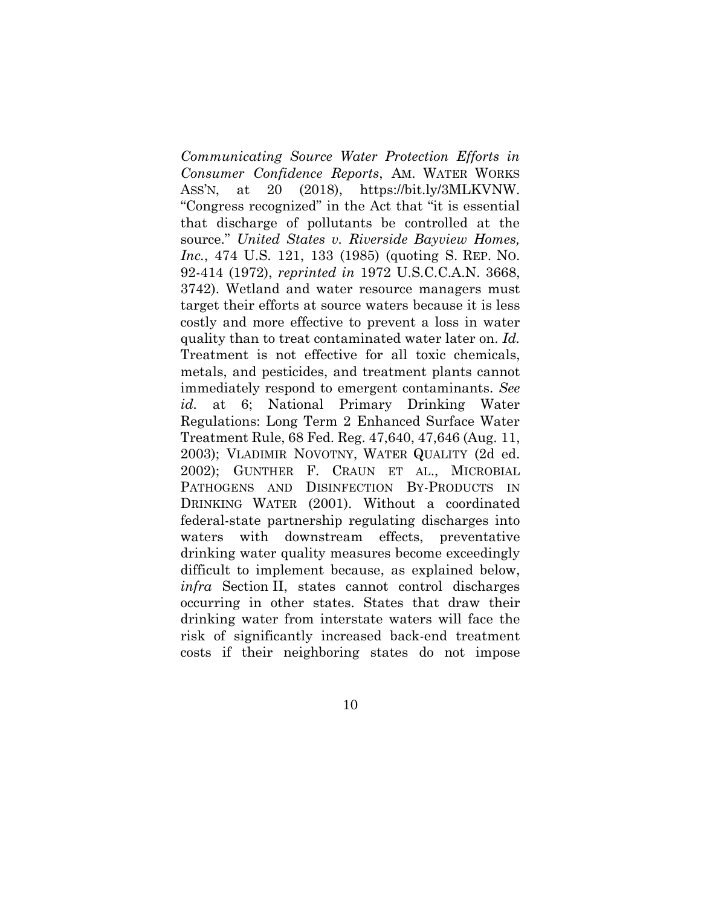<span id="page-21-4"></span><span id="page-21-3"></span><span id="page-21-2"></span><span id="page-21-1"></span><span id="page-21-0"></span>*Communicating Source Water Protection Efforts in Consumer Confidence Reports*, AM. WATER WORKS ASS'N, at 20 (2018), https://bit.ly/3MLKVNW. "Congress recognized" in the Act that "it is essential that discharge of pollutants be controlled at the source." *United States v. Riverside Bayview Homes, Inc.*, 474 U.S. 121, 133 (1985) (quoting S. REP. NO. 92-414 (1972), *reprinted in* 1972 U.S.C.C.A.N. 3668, 3742). Wetland and water resource managers must target their efforts at source waters because it is less costly and more effective to prevent a loss in water quality than to treat contaminated water later on. *Id.* Treatment is not effective for all toxic chemicals, metals, and pesticides, and treatment plants cannot immediately respond to emergent contaminants. *See id.* at 6; National Primary Drinking Water Regulations: Long Term 2 Enhanced Surface Water Treatment Rule, 68 Fed. Reg. 47,640, 47,646 (Aug. 11, 2003); VLADIMIR NOVOTNY, WATER QUALITY (2d ed. 2002); GUNTHER F. CRAUN ET AL., MICROBIAL PATHOGENS AND DISINFECTION BY-PRODUCTS IN DRINKING WATER (2001). Without a coordinated federal-state partnership regulating discharges into waters with downstream effects, preventative drinking water quality measures become exceedingly difficult to implement because, as explained below, *infra* Section II, states cannot control discharges occurring in other states. States that draw their drinking water from interstate waters will face the risk of significantly increased back-end treatment costs if their neighboring states do not impose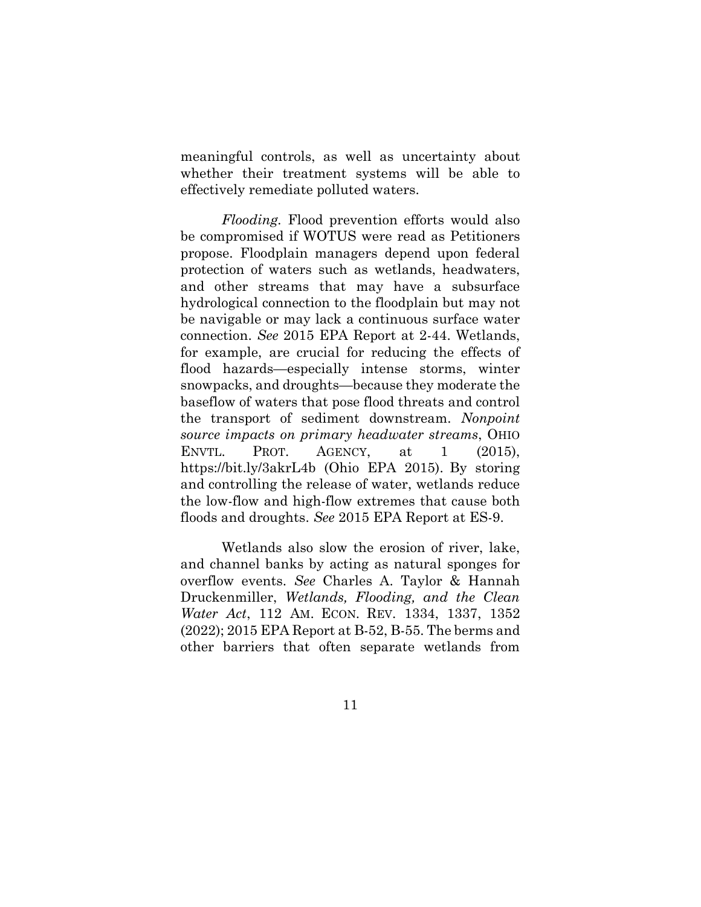meaningful controls, as well as uncertainty about whether their treatment systems will be able to effectively remediate polluted waters.

*Flooding.* Flood prevention efforts would also be compromised if WOTUS were read as Petitioners propose. Floodplain managers depend upon federal protection of waters such as wetlands, headwaters, and other streams that may have a subsurface hydrological connection to the floodplain but may not be navigable or may lack a continuous surface water connection. *See* 2015 EPA Report at 2-44. Wetlands, for example, are crucial for reducing the effects of flood hazards—especially intense storms, winter snowpacks, and droughts—because they moderate the baseflow of waters that pose flood threats and control the transport of sediment downstream. *Nonpoint source impacts on primary headwater streams*, OHIO ENVTL. PROT. AGENCY, at  $1$  (2015), https://bit.ly/3akrL4b (Ohio EPA 2015). By storing and controlling the release of water, wetlands reduce the low-flow and high-flow extremes that cause both floods and droughts. *See* 2015 EPA Report at ES-9.

<span id="page-22-1"></span><span id="page-22-0"></span>Wetlands also slow the erosion of river, lake, and channel banks by acting as natural sponges for overflow events. *See* Charles A. Taylor & Hannah Druckenmiller, *Wetlands, Flooding, and the Clean Water Act*, 112 AM. ECON. REV. 1334, 1337, 1352 (2022); 2015 EPA Report at B-52, B-55. The berms and other barriers that often separate wetlands from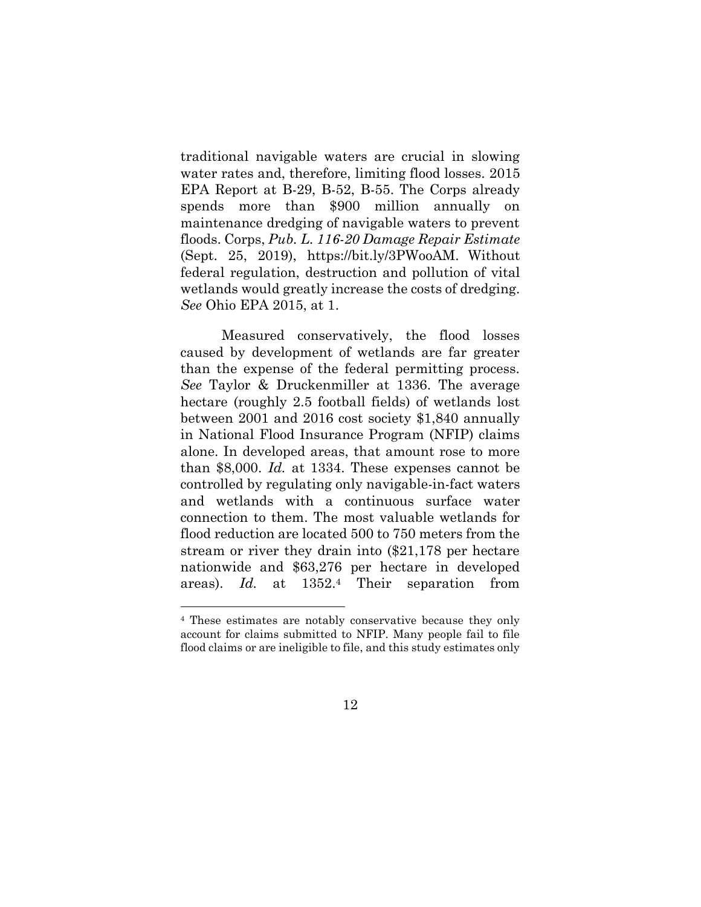<span id="page-23-2"></span>traditional navigable waters are crucial in slowing water rates and, therefore, limiting flood losses. 2015 EPA Report at B-29, B-52, B-55. The Corps already spends more than \$900 million annually on maintenance dredging of navigable waters to prevent floods. Corps, *Pub. L. 116-20 Damage Repair Estimate* (Sept. 25, 2019), https://bit.ly/3PWooAM. Without federal regulation, destruction and pollution of vital wetlands would greatly increase the costs of dredging. *See* Ohio EPA 2015, at 1.

<span id="page-23-1"></span><span id="page-23-0"></span>Measured conservatively, the flood losses caused by development of wetlands are far greater than the expense of the federal permitting process. *See* Taylor & Druckenmiller at 1336. The average hectare (roughly 2.5 football fields) of wetlands lost between 2001 and 2016 cost society \$1,840 annually in National Flood Insurance Program (NFIP) claims alone. In developed areas, that amount rose to more than \$8,000. *Id.* at 1334. These expenses cannot be controlled by regulating only navigable-in-fact waters and wetlands with a continuous surface water connection to them. The most valuable wetlands for flood reduction are located 500 to 750 meters from the stream or river they drain into (\$21,178 per hectare nationwide and \$63,276 per hectare in developed areas). *Id.* at 1352.<sup>4</sup> Their separation from

<sup>4</sup> These estimates are notably conservative because they only account for claims submitted to NFIP. Many people fail to file flood claims or are ineligible to file, and this study estimates only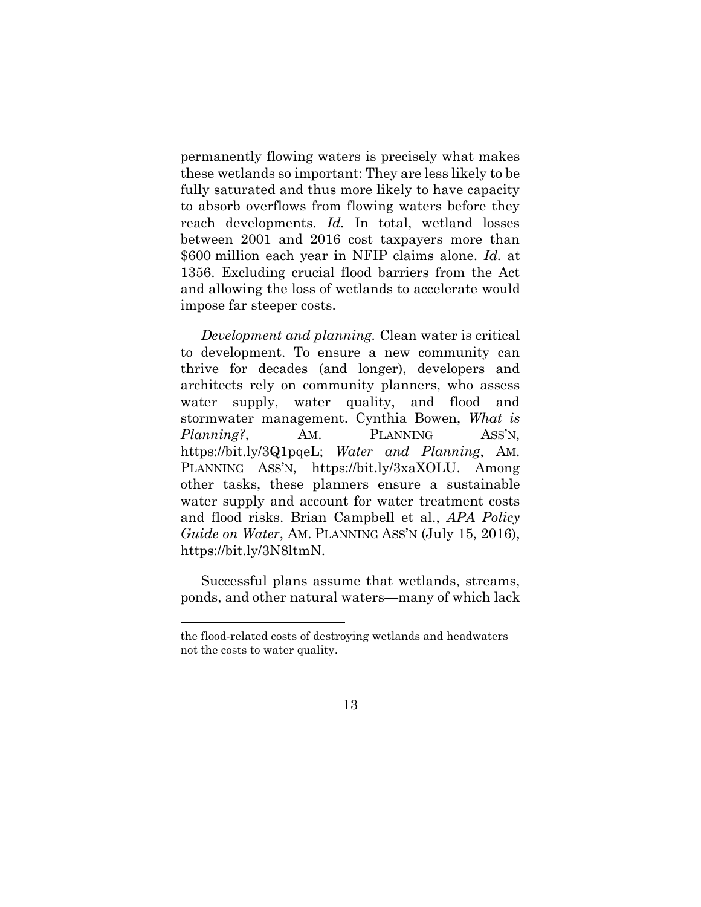<span id="page-24-1"></span>permanently flowing waters is precisely what makes these wetlands so important: They are less likely to be fully saturated and thus more likely to have capacity to absorb overflows from flowing waters before they reach developments. *Id.* In total, wetland losses between 2001 and 2016 cost taxpayers more than \$600 million each year in NFIP claims alone. *Id.* at 1356. Excluding crucial flood barriers from the Act and allowing the loss of wetlands to accelerate would impose far steeper costs.

<span id="page-24-2"></span>*Development and planning.* Clean water is critical to development. To ensure a new community can thrive for decades (and longer), developers and architects rely on community planners, who assess water supply, water quality, and flood and stormwater management. Cynthia Bowen, *What is Planning?*, AM. PLANNING ASS'N, https://bit.ly/3Q1pqeL; *Water and Planning*, AM. PLANNING ASS'N, https://bit.ly/3xaXOLU. Among other tasks, these planners ensure a sustainable water supply and account for water treatment costs and flood risks. Brian Campbell et al., *APA Policy Guide on Water*, AM. PLANNING ASS'N (July 15, 2016), https://bit.ly/3N8ltmN.

<span id="page-24-0"></span>Successful plans assume that wetlands, streams, ponds, and other natural waters—many of which lack

the flood-related costs of destroying wetlands and headwaters not the costs to water quality.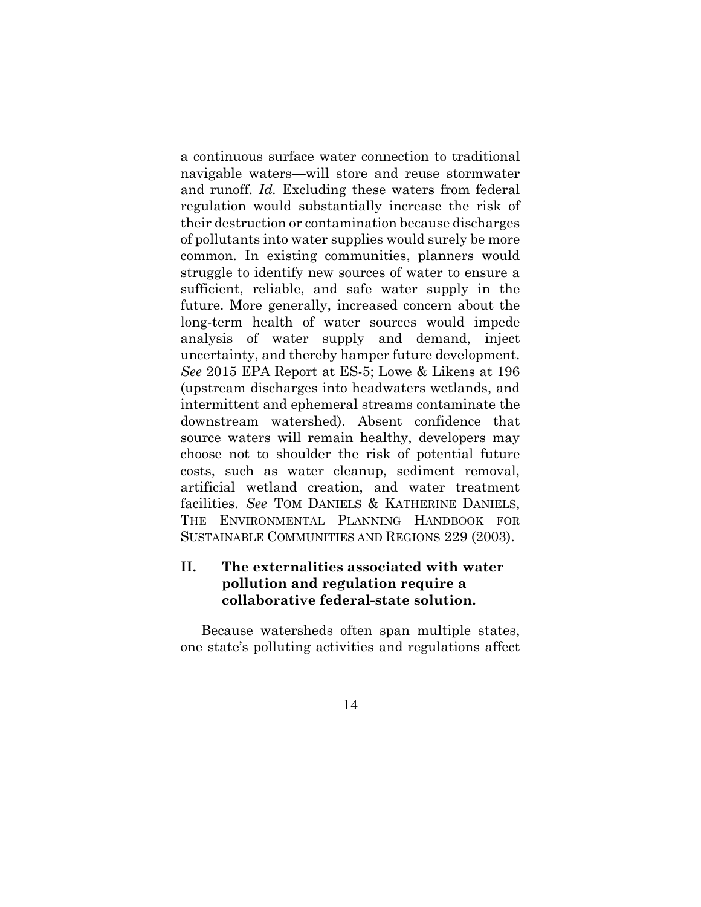<span id="page-25-1"></span>a continuous surface water connection to traditional navigable waters—will store and reuse stormwater and runoff. *Id.* Excluding these waters from federal regulation would substantially increase the risk of their destruction or contamination because discharges of pollutants into water supplies would surely be more common. In existing communities, planners would struggle to identify new sources of water to ensure a sufficient, reliable, and safe water supply in the future. More generally, increased concern about the long-term health of water sources would impede analysis of water supply and demand, inject uncertainty, and thereby hamper future development. *See* 2015 EPA Report at ES-5; Lowe & Likens at 196 (upstream discharges into headwaters wetlands, and intermittent and ephemeral streams contaminate the downstream watershed). Absent confidence that source waters will remain healthy, developers may choose not to shoulder the risk of potential future costs, such as water cleanup, sediment removal, artificial wetland creation, and water treatment facilities. *See* TOM DANIELS & KATHERINE DANIELS, THE ENVIRONMENTAL PLANNING HANDBOOK FOR SUSTAINABLE COMMUNITIES AND REGIONS 229 (2003).

### <span id="page-25-3"></span><span id="page-25-2"></span><span id="page-25-0"></span>**II. The externalities associated with water pollution and regulation require a collaborative federal-state solution.**

Because watersheds often span multiple states, one state's polluting activities and regulations affect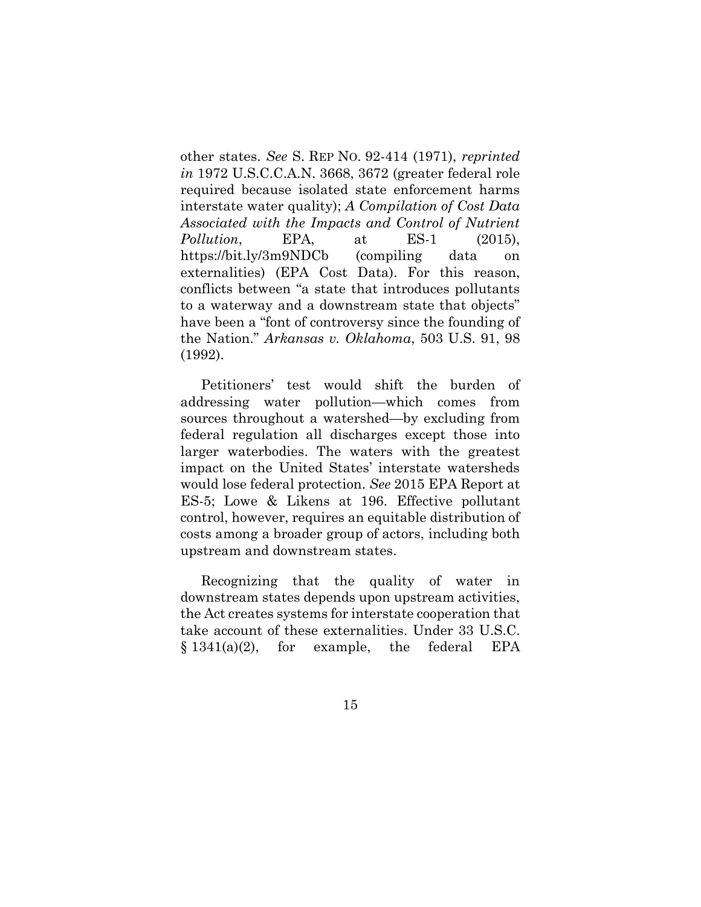<span id="page-26-3"></span><span id="page-26-2"></span>other states. *See* S. REP NO. 92-414 (1971), *reprinted in* 1972 U.S.C.C.A.N. 3668, 3672 (greater federal role required because isolated state enforcement harms interstate water quality); *A Compilation of Cost Data Associated with the Impacts and Control of Nutrient Pollution*, EPA, at ES-1 (2015), https://bit.ly/3m9NDCb (compiling data on externalities) (EPA Cost Data). For this reason, conflicts between "a state that introduces pollutants to a waterway and a downstream state that objects" have been a "font of controversy since the founding of the Nation." *Arkansas v. Oklahoma*, 503 U.S. 91, 98 (1992).

<span id="page-26-0"></span>Petitioners' test would shift the burden of addressing water pollution—which comes from sources throughout a watershed—by excluding from federal regulation all discharges except those into larger waterbodies. The waters with the greatest impact on the United States' interstate watersheds would lose federal protection. *See* 2015 EPA Report at ES-5; Lowe & Likens at 196. Effective pollutant control, however, requires an equitable distribution of costs among a broader group of actors, including both upstream and downstream states.

<span id="page-26-4"></span><span id="page-26-1"></span>Recognizing that the quality of water in downstream states depends upon upstream activities, the Act creates systems for interstate cooperation that take account of these externalities. Under 33 U.S.C. § 1341(a)(2), for example, the federal EPA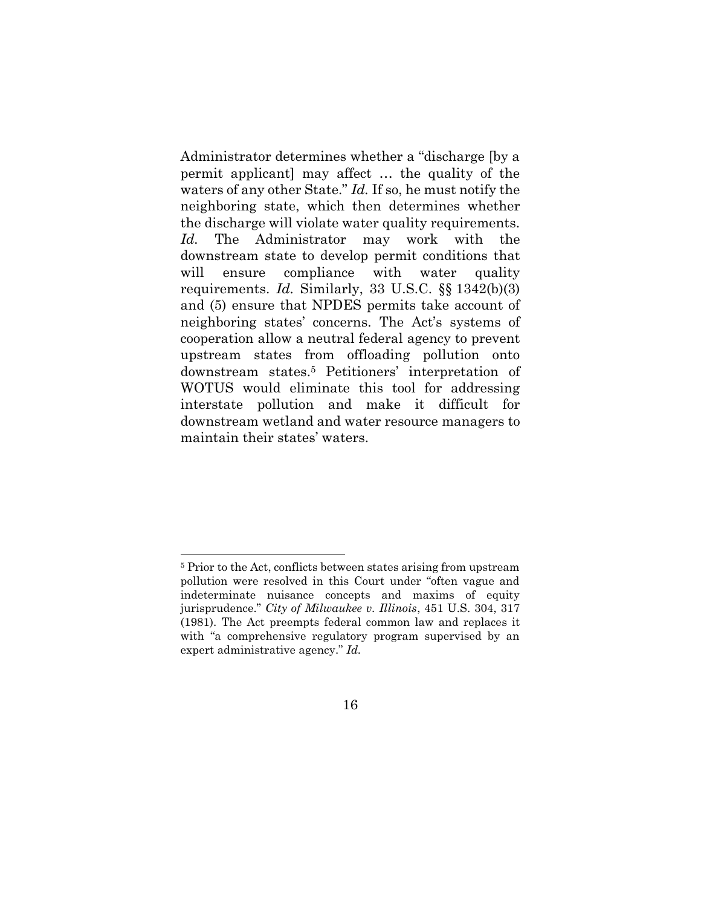Administrator determines whether a "discharge [by a permit applicant] may affect … the quality of the waters of any other State." *Id.* If so, he must notify the neighboring state, which then determines whether the discharge will violate water quality requirements. *Id.* The Administrator may work with the downstream state to develop permit conditions that will ensure compliance with water quality requirements. *Id.* Similarly, 33 U.S.C. §§ 1342(b)(3) and (5) ensure that NPDES permits take account of neighboring states' concerns. The Act's systems of cooperation allow a neutral federal agency to prevent upstream states from offloading pollution onto downstream states.<sup>5</sup> Petitioners' interpretation of WOTUS would eliminate this tool for addressing interstate pollution and make it difficult for downstream wetland and water resource managers to maintain their states' waters.

<span id="page-27-0"></span><sup>5</sup> Prior to the Act, conflicts between states arising from upstream pollution were resolved in this Court under "often vague and indeterminate nuisance concepts and maxims of equity jurisprudence." *City of Milwaukee v. Illinois*, 451 U.S. 304, 317 (1981). The Act preempts federal common law and replaces it with "a comprehensive regulatory program supervised by an expert administrative agency." *Id.*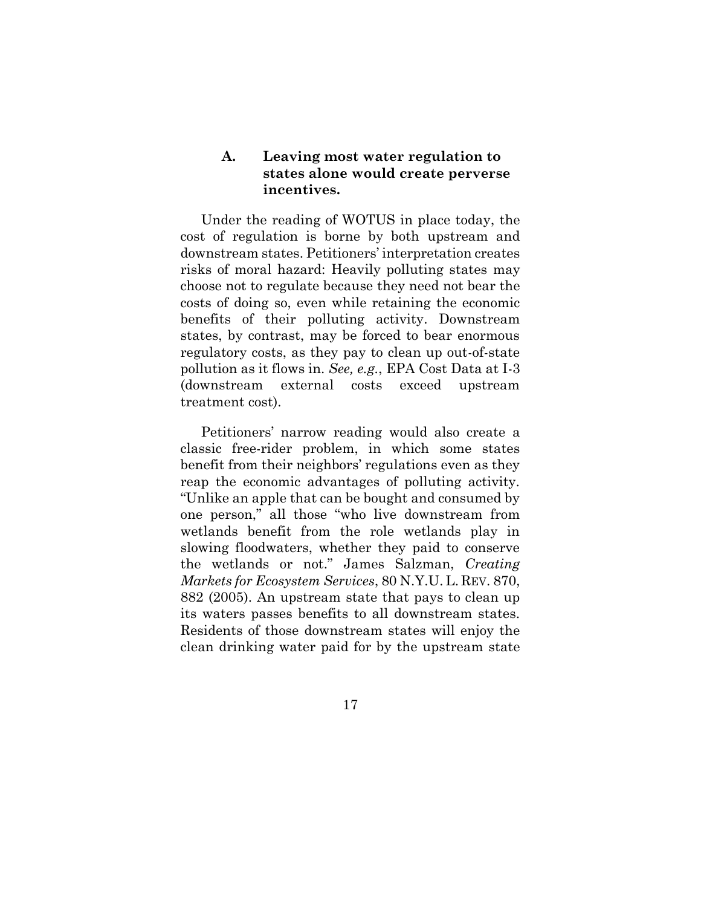#### <span id="page-28-0"></span>**A. Leaving most water regulation to states alone would create perverse incentives.**

Under the reading of WOTUS in place today, the cost of regulation is borne by both upstream and downstream states. Petitioners' interpretation creates risks of moral hazard: Heavily polluting states may choose not to regulate because they need not bear the costs of doing so, even while retaining the economic benefits of their polluting activity. Downstream states, by contrast, may be forced to bear enormous regulatory costs, as they pay to clean up out-of-state pollution as it flows in. *See, e.g.*, EPA Cost Data at I-3 (downstream external costs exceed upstream treatment cost).

<span id="page-28-1"></span>Petitioners' narrow reading would also create a classic free-rider problem, in which some states benefit from their neighbors' regulations even as they reap the economic advantages of polluting activity. "Unlike an apple that can be bought and consumed by one person," all those "who live downstream from wetlands benefit from the role wetlands play in slowing floodwaters, whether they paid to conserve the wetlands or not." James Salzman, *Creating Markets for Ecosystem Services*, 80 N.Y.U. L. REV. 870, 882 (2005). An upstream state that pays to clean up its waters passes benefits to all downstream states. Residents of those downstream states will enjoy the clean drinking water paid for by the upstream state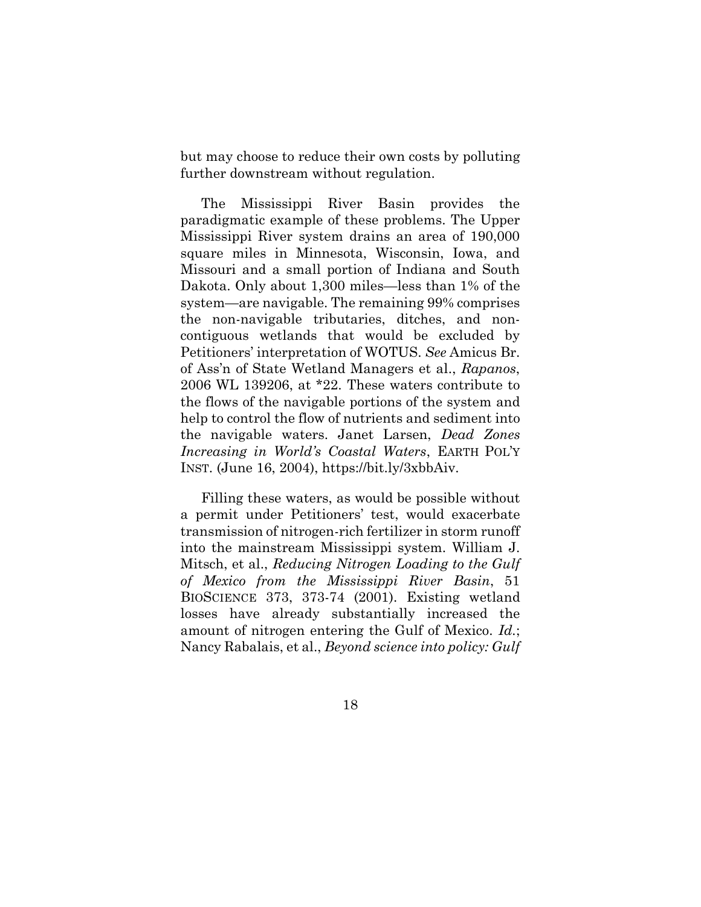but may choose to reduce their own costs by polluting further downstream without regulation.

<span id="page-29-0"></span>The Mississippi River Basin provides the paradigmatic example of these problems. The Upper Mississippi River system drains an area of 190,000 square miles in Minnesota, Wisconsin, Iowa, and Missouri and a small portion of Indiana and South Dakota. Only about 1,300 miles—less than 1% of the system—are navigable. The remaining 99% comprises the non-navigable tributaries, ditches, and noncontiguous wetlands that would be excluded by Petitioners' interpretation of WOTUS. *See* Amicus Br. of Ass'n of State Wetland Managers et al., *Rapanos*, 2006 WL 139206, at \*22. These waters contribute to the flows of the navigable portions of the system and help to control the flow of nutrients and sediment into the navigable waters. Janet Larsen, *Dead Zones Increasing in World's Coastal Waters*, EARTH POL'Y INST. (June 16, 2004), https://bit.ly/3xbbAiv.

<span id="page-29-3"></span><span id="page-29-2"></span><span id="page-29-1"></span>Filling these waters, as would be possible without a permit under Petitioners' test, would exacerbate transmission of nitrogen-rich fertilizer in storm runoff into the mainstream Mississippi system. William J. Mitsch, et al., *Reducing Nitrogen Loading to the Gulf of Mexico from the Mississippi River Basin*, 51 BIOSCIENCE 373, 373-74 (2001). Existing wetland losses have already substantially increased the amount of nitrogen entering the Gulf of Mexico. *Id.*; Nancy Rabalais, et al., *Beyond science into policy: Gulf*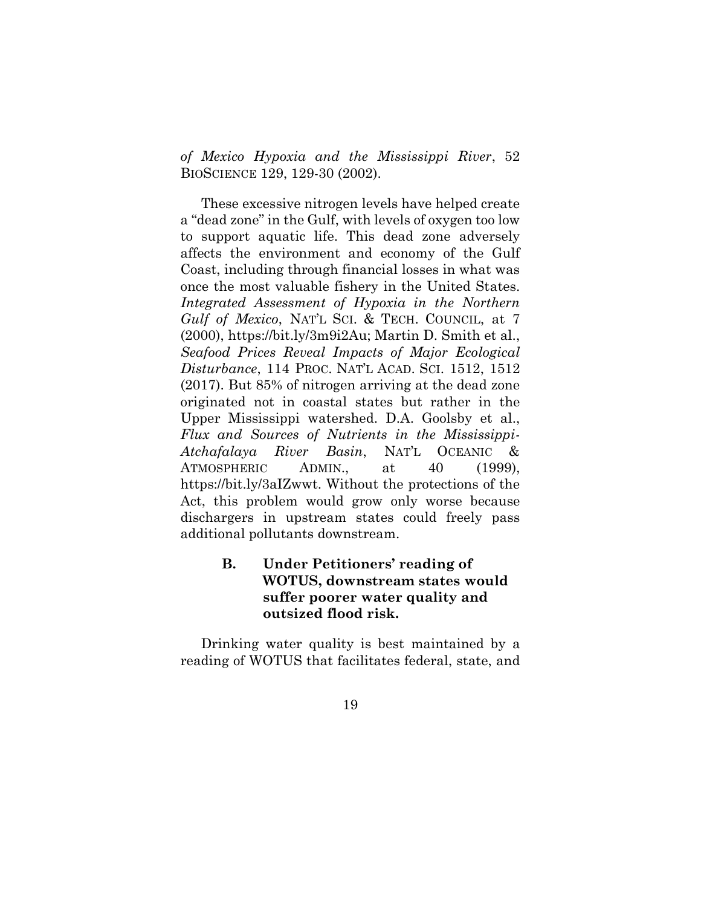*of Mexico Hypoxia and the Mississippi River*, 52 BIOSCIENCE 129, 129-30 (2002).

<span id="page-30-3"></span><span id="page-30-2"></span>These excessive nitrogen levels have helped create a "dead zone" in the Gulf, with levels of oxygen too low to support aquatic life. This dead zone adversely affects the environment and economy of the Gulf Coast, including through financial losses in what was once the most valuable fishery in the United States. *Integrated Assessment of Hypoxia in the Northern Gulf of Mexico*, NAT'L SCI. & TECH. COUNCIL, at 7 (2000), https://bit.ly/3m9i2Au; Martin D. Smith et al., *Seafood Prices Reveal Impacts of Major Ecological Disturbance*, 114 PROC. NAT'L ACAD. SCI. 1512, 1512 (2017). But 85% of nitrogen arriving at the dead zone originated not in coastal states but rather in the Upper Mississippi watershed. D.A. Goolsby et al., *Flux and Sources of Nutrients in the Mississippi-Atchafalaya River Basin*, NAT'L OCEANIC & ATMOSPHERIC ADMIN., at 40 (1999), https://bit.ly/3aIZwwt. Without the protections of the Act, this problem would grow only worse because dischargers in upstream states could freely pass additional pollutants downstream.

## <span id="page-30-1"></span><span id="page-30-0"></span>**B. Under Petitioners' reading of WOTUS, downstream states would suffer poorer water quality and outsized flood risk.**

Drinking water quality is best maintained by a reading of WOTUS that facilitates federal, state, and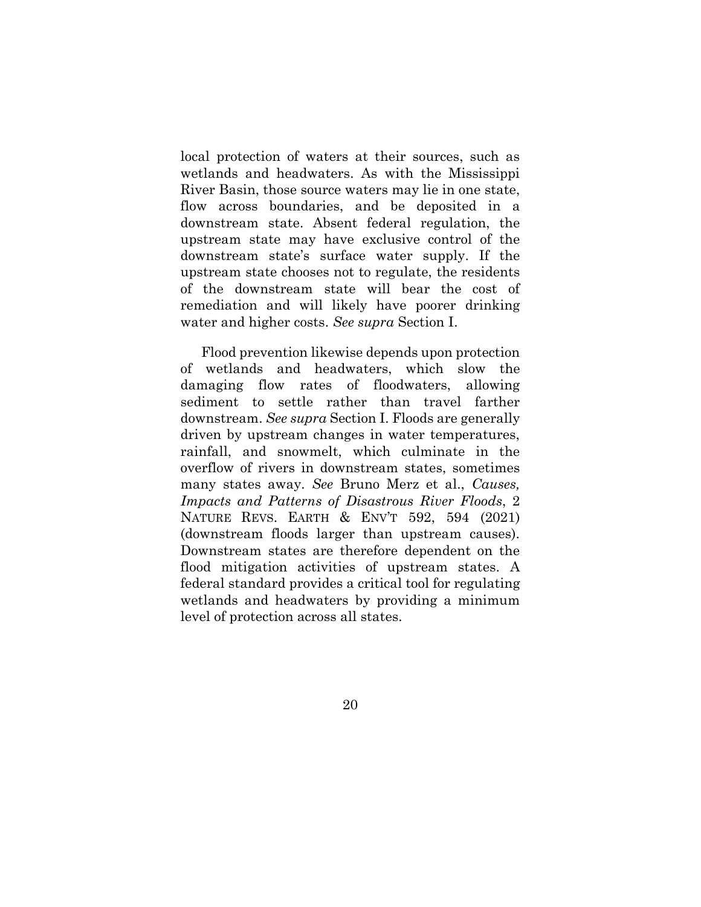local protection of waters at their sources, such as wetlands and headwaters. As with the Mississippi River Basin, those source waters may lie in one state, flow across boundaries, and be deposited in a downstream state. Absent federal regulation, the upstream state may have exclusive control of the downstream state's surface water supply. If the upstream state chooses not to regulate, the residents of the downstream state will bear the cost of remediation and will likely have poorer drinking water and higher costs. *See supra* Section I.

<span id="page-31-0"></span>Flood prevention likewise depends upon protection of wetlands and headwaters, which slow the damaging flow rates of floodwaters, allowing sediment to settle rather than travel farther downstream. *See supra* Section I. Floods are generally driven by upstream changes in water temperatures, rainfall, and snowmelt, which culminate in the overflow of rivers in downstream states, sometimes many states away. *See* Bruno Merz et al., *Causes, Impacts and Patterns of Disastrous River Floods*, 2 NATURE REVS. EARTH & ENV'T 592, 594 (2021) (downstream floods larger than upstream causes). Downstream states are therefore dependent on the flood mitigation activities of upstream states. A federal standard provides a critical tool for regulating wetlands and headwaters by providing a minimum level of protection across all states.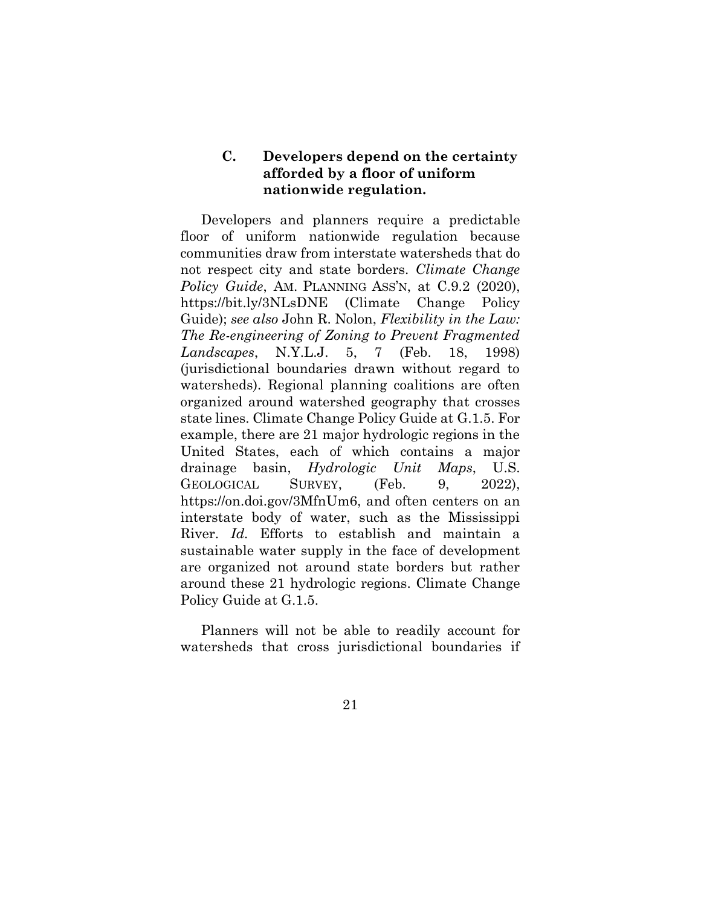### <span id="page-32-1"></span><span id="page-32-0"></span>**C. Developers depend on the certainty afforded by a floor of uniform nationwide regulation.**

<span id="page-32-3"></span>Developers and planners require a predictable floor of uniform nationwide regulation because communities draw from interstate watersheds that do not respect city and state borders. *Climate Change Policy Guide*, AM. PLANNING ASS'N, at C.9.2 (2020), https://bit.ly/3NLsDNE (Climate Change Policy Guide); *see also* John R. Nolon, *Flexibility in the Law: The Re-engineering of Zoning to Prevent Fragmented Landscapes*, N.Y.L.J. 5, 7 (Feb. 18, 1998) (jurisdictional boundaries drawn without regard to watersheds). Regional planning coalitions are often organized around watershed geography that crosses state lines. Climate Change Policy Guide at G.1.5. For example, there are 21 major hydrologic regions in the United States, each of which contains a major drainage basin, *Hydrologic Unit Maps*, U.S. GEOLOGICAL SURVEY, (Feb. 9, 2022), https://on.doi.gov/3MfnUm6, and often centers on an interstate body of water, such as the Mississippi River. *Id.* Efforts to establish and maintain a sustainable water supply in the face of development are organized not around state borders but rather around these 21 hydrologic regions. Climate Change Policy Guide at G.1.5.

<span id="page-32-2"></span>Planners will not be able to readily account for watersheds that cross jurisdictional boundaries if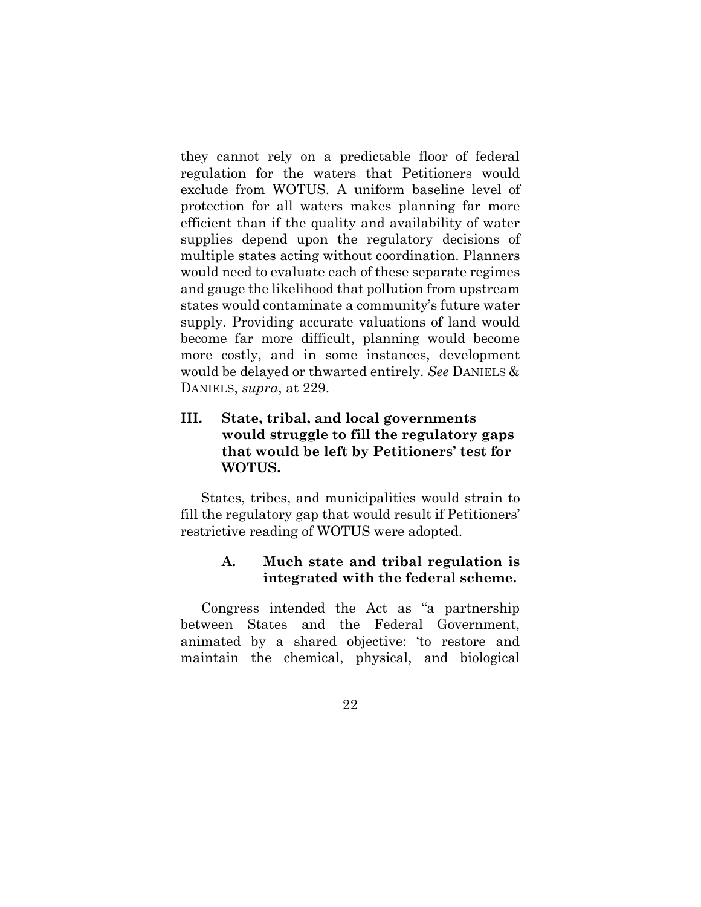they cannot rely on a predictable floor of federal regulation for the waters that Petitioners would exclude from WOTUS. A uniform baseline level of protection for all waters makes planning far more efficient than if the quality and availability of water supplies depend upon the regulatory decisions of multiple states acting without coordination. Planners would need to evaluate each of these separate regimes and gauge the likelihood that pollution from upstream states would contaminate a community's future water supply. Providing accurate valuations of land would become far more difficult, planning would become more costly, and in some instances, development would be delayed or thwarted entirely. *See* DANIELS & DANIELS, *supra*, at 229.

## <span id="page-33-2"></span><span id="page-33-0"></span>**III. State, tribal, and local governments would struggle to fill the regulatory gaps that would be left by Petitioners' test for WOTUS.**

States, tribes, and municipalities would strain to fill the regulatory gap that would result if Petitioners' restrictive reading of WOTUS were adopted.

### <span id="page-33-1"></span>**A. Much state and tribal regulation is integrated with the federal scheme.**

Congress intended the Act as "a partnership between States and the Federal Government, animated by a shared objective: 'to restore and maintain the chemical, physical, and biological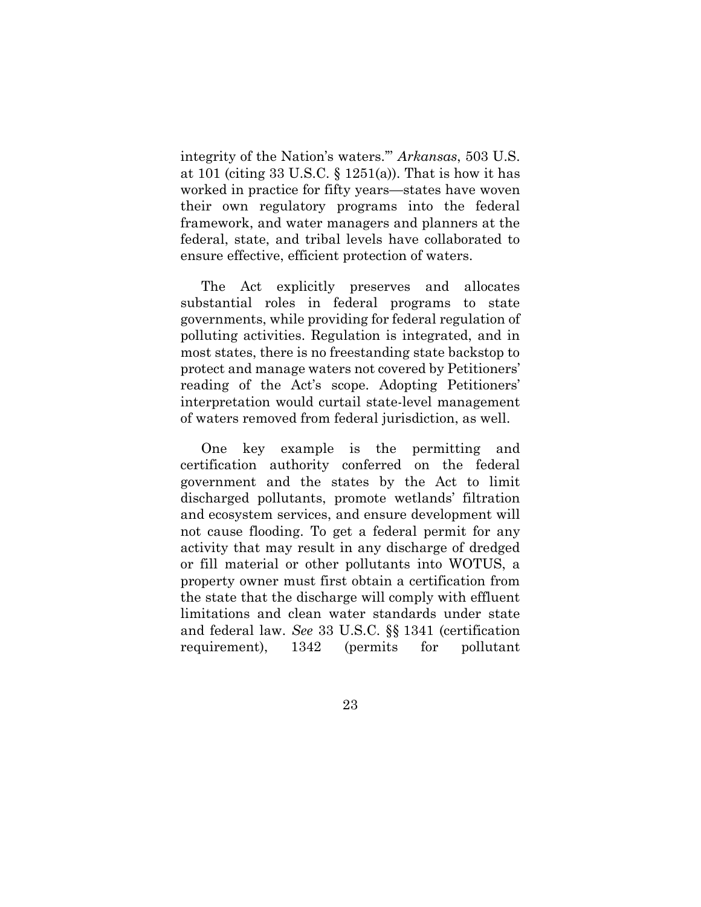<span id="page-34-1"></span><span id="page-34-0"></span>integrity of the Nation's waters.'" *Arkansas*, 503 U.S. at 101 (citing 33 U.S.C.  $\S$  1251(a)). That is how it has worked in practice for fifty years—states have woven their own regulatory programs into the federal framework, and water managers and planners at the federal, state, and tribal levels have collaborated to ensure effective, efficient protection of waters.

The Act explicitly preserves and allocates substantial roles in federal programs to state governments, while providing for federal regulation of polluting activities. Regulation is integrated, and in most states, there is no freestanding state backstop to protect and manage waters not covered by Petitioners' reading of the Act's scope. Adopting Petitioners' interpretation would curtail state-level management of waters removed from federal jurisdiction, as well.

<span id="page-34-2"></span>One key example is the permitting and certification authority conferred on the federal government and the states by the Act to limit discharged pollutants, promote wetlands' filtration and ecosystem services, and ensure development will not cause flooding. To get a federal permit for any activity that may result in any discharge of dredged or fill material or other pollutants into WOTUS, a property owner must first obtain a certification from the state that the discharge will comply with effluent limitations and clean water standards under state and federal law. *See* 33 U.S.C. §§ 1341 (certification requirement), 1342 (permits for pollutant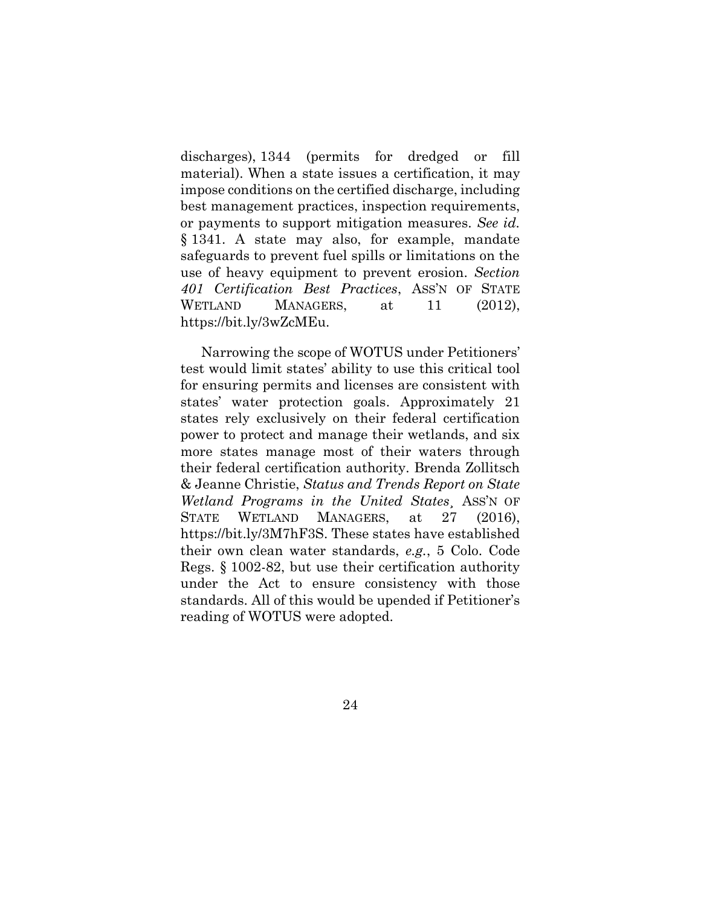<span id="page-35-1"></span><span id="page-35-0"></span>discharges), 1344 (permits for dredged or fill material). When a state issues a certification, it may impose conditions on the certified discharge, including best management practices, inspection requirements, or payments to support mitigation measures. *See id.*  § 1341. A state may also, for example, mandate safeguards to prevent fuel spills or limitations on the use of heavy equipment to prevent erosion. *Section 401 Certification Best Practices*, ASS'N OF STATE WETLAND MANAGERS, at 11 (2012), https://bit.ly/3wZcMEu.

<span id="page-35-4"></span><span id="page-35-3"></span><span id="page-35-2"></span>Narrowing the scope of WOTUS under Petitioners' test would limit states' ability to use this critical tool for ensuring permits and licenses are consistent with states' water protection goals. Approximately 21 states rely exclusively on their federal certification power to protect and manage their wetlands, and six more states manage most of their waters through their federal certification authority. Brenda Zollitsch & Jeanne Christie, *Status and Trends Report on State Wetland Programs in the United States*¸ ASS'N OF STATE WETLAND MANAGERS, at 27 (2016), https://bit.ly/3M7hF3S. These states have established their own clean water standards, *e.g.*, 5 Colo. Code Regs. § 1002-82, but use their certification authority under the Act to ensure consistency with those standards. All of this would be upended if Petitioner's reading of WOTUS were adopted.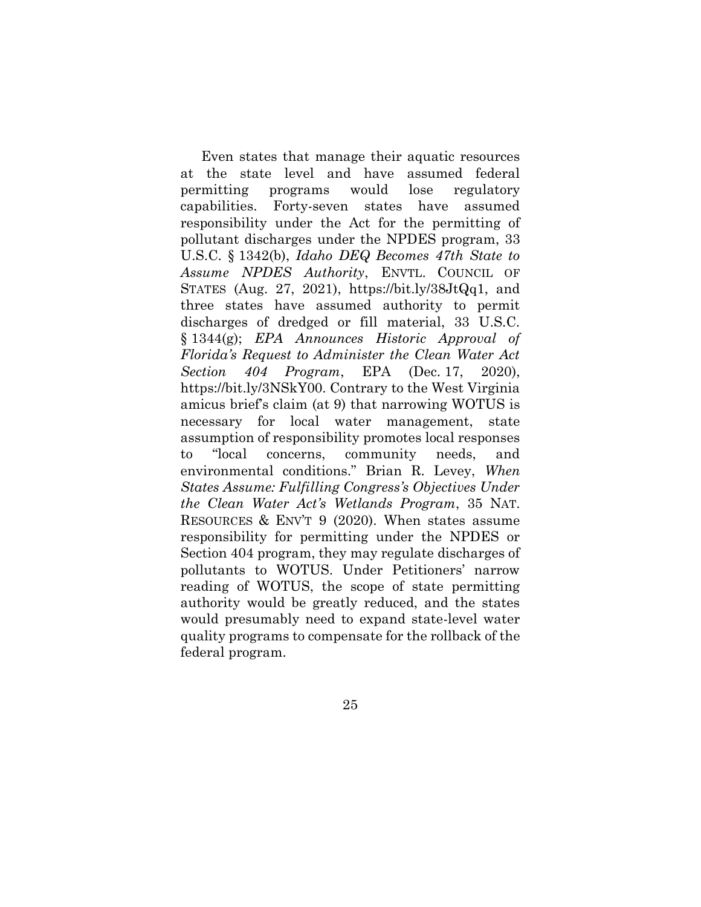<span id="page-36-3"></span><span id="page-36-2"></span><span id="page-36-1"></span><span id="page-36-0"></span>Even states that manage their aquatic resources at the state level and have assumed federal permitting programs would lose regulatory capabilities. Forty-seven states have assumed responsibility under the Act for the permitting of pollutant discharges under the NPDES program, 33 U.S.C. § 1342(b), *Idaho DEQ Becomes 47th State to Assume NPDES Authority*, ENVTL. COUNCIL OF STATES (Aug. 27, 2021), https://bit.ly/38JtQq1, and three states have assumed authority to permit discharges of dredged or fill material, 33 U.S.C. § 1344(g); *EPA Announces Historic Approval of Florida's Request to Administer the Clean Water Act Section 404 Program*, EPA (Dec. 17, 2020), https://bit.ly/3NSkY00. Contrary to the West Virginia amicus brief's claim (at 9) that narrowing WOTUS is necessary for local water management, state assumption of responsibility promotes local responses to "local concerns, community needs, and environmental conditions." Brian R. Levey, *When States Assume: Fulfilling Congress's Objectives Under the Clean Water Act's Wetlands Program*, 35 NAT. RESOURCES & ENV'T 9 (2020). When states assume responsibility for permitting under the NPDES or Section 404 program, they may regulate discharges of pollutants to WOTUS. Under Petitioners' narrow reading of WOTUS, the scope of state permitting authority would be greatly reduced, and the states would presumably need to expand state-level water quality programs to compensate for the rollback of the federal program.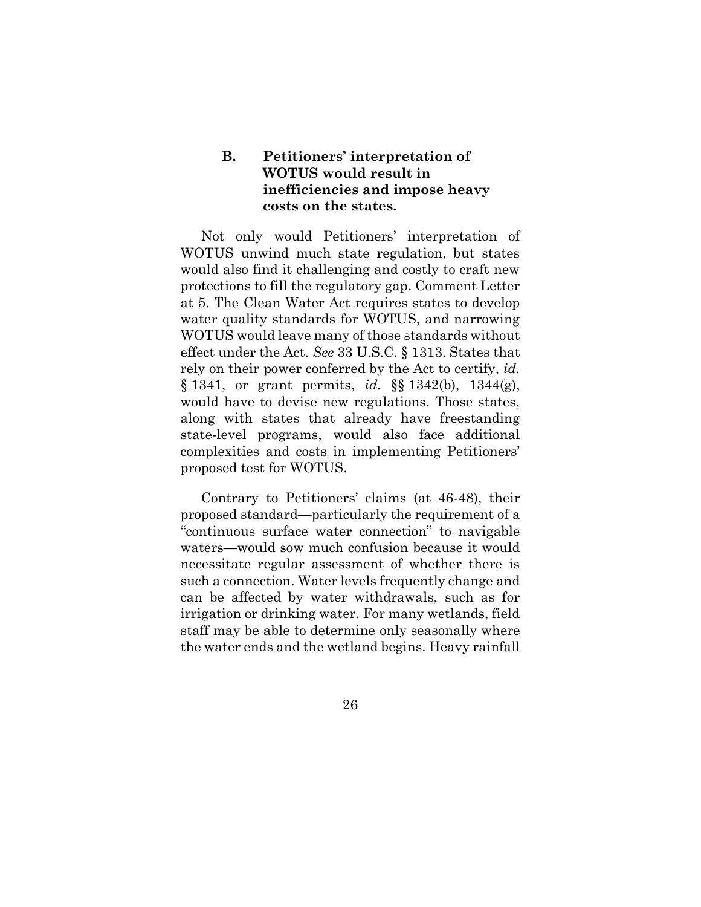## <span id="page-37-4"></span><span id="page-37-0"></span>**B. Petitioners' interpretation of WOTUS would result in inefficiencies and impose heavy costs on the states.**

<span id="page-37-2"></span><span id="page-37-1"></span>Not only would Petitioners' interpretation of WOTUS unwind much state regulation, but states would also find it challenging and costly to craft new protections to fill the regulatory gap. Comment Letter at 5. The Clean Water Act requires states to develop water quality standards for WOTUS, and narrowing WOTUS would leave many of those standards without effect under the Act. *See* 33 U.S.C. § 1313. States that rely on their power conferred by the Act to certify, *id.* § 1341, or grant permits, *id.* §§ 1342(b), 1344(g), would have to devise new regulations. Those states, along with states that already have freestanding state-level programs, would also face additional complexities and costs in implementing Petitioners' proposed test for WOTUS.

<span id="page-37-3"></span>Contrary to Petitioners' claims (at 46-48), their proposed standard—particularly the requirement of a "continuous surface water connection" to navigable waters—would sow much confusion because it would necessitate regular assessment of whether there is such a connection. Water levels frequently change and can be affected by water withdrawals, such as for irrigation or drinking water. For many wetlands, field staff may be able to determine only seasonally where the water ends and the wetland begins. Heavy rainfall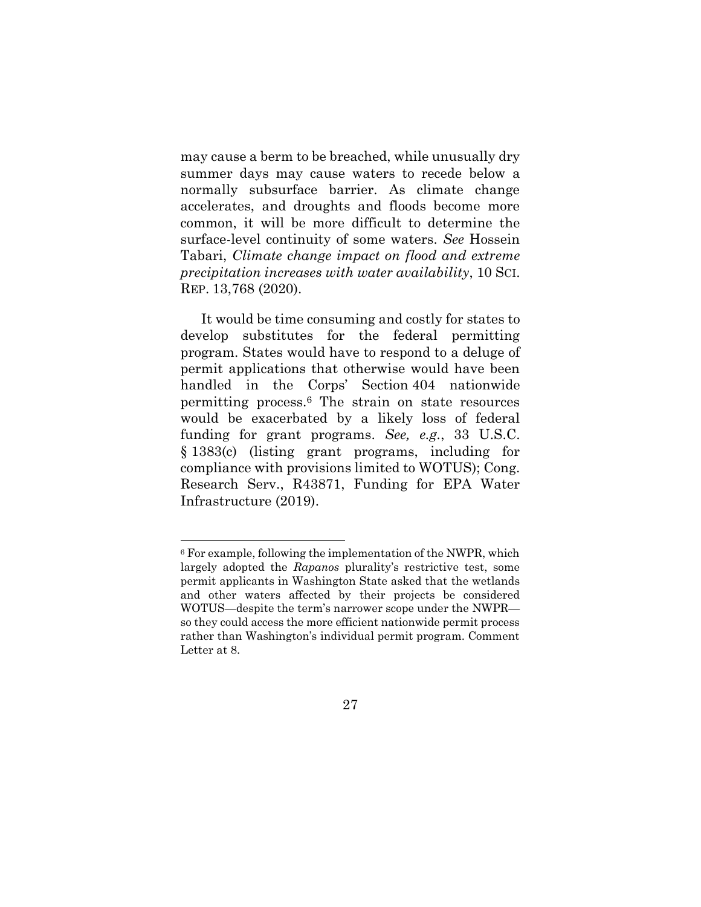<span id="page-38-3"></span>may cause a berm to be breached, while unusually dry summer days may cause waters to recede below a normally subsurface barrier. As climate change accelerates, and droughts and floods become more common, it will be more difficult to determine the surface-level continuity of some waters. *See* Hossein Tabari, *Climate change impact on flood and extreme precipitation increases with water availability*, 10 SCI. REP. 13,768 (2020).

It would be time consuming and costly for states to develop substitutes for the federal permitting program. States would have to respond to a deluge of permit applications that otherwise would have been handled in the Corps' Section 404 nationwide permitting process.<sup>6</sup> The strain on state resources would be exacerbated by a likely loss of federal funding for grant programs. *See, e.g.*, 33 U.S.C. § 1383(c) (listing grant programs, including for compliance with provisions limited to WOTUS); Cong. Research Serv., R43871, Funding for EPA Water Infrastructure (2019).

<sup>6</sup> For example, following the implementation of the NWPR, which largely adopted the *Rapanos* plurality's restrictive test, some permit applicants in Washington State asked that the wetlands and other waters affected by their projects be considered WOTUS—despite the term's narrower scope under the NWPR so they could access the more efficient nationwide permit process rather than Washington's individual permit program. Comment Letter at 8.

<span id="page-38-2"></span><span id="page-38-1"></span><span id="page-38-0"></span><sup>27</sup>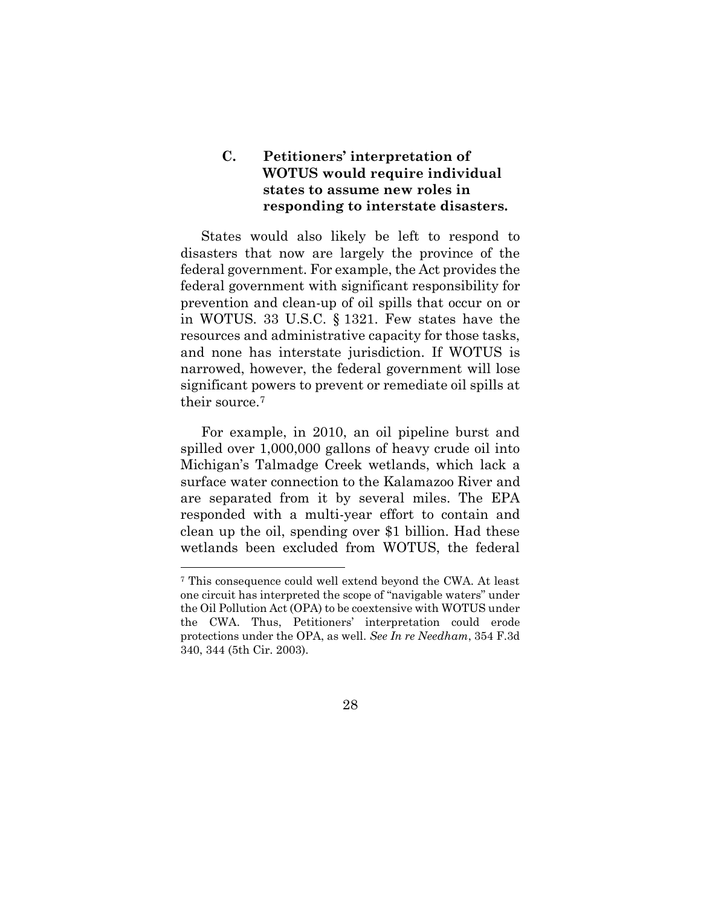## <span id="page-39-0"></span>**C. Petitioners' interpretation of WOTUS would require individual states to assume new roles in responding to interstate disasters.**

<span id="page-39-2"></span>States would also likely be left to respond to disasters that now are largely the province of the federal government. For example, the Act provides the federal government with significant responsibility for prevention and clean-up of oil spills that occur on or in WOTUS. 33 U.S.C. § 1321. Few states have the resources and administrative capacity for those tasks, and none has interstate jurisdiction. If WOTUS is narrowed, however, the federal government will lose significant powers to prevent or remediate oil spills at their source.<sup>7</sup>

For example, in 2010, an oil pipeline burst and spilled over 1,000,000 gallons of heavy crude oil into Michigan's Talmadge Creek wetlands, which lack a surface water connection to the Kalamazoo River and are separated from it by several miles. The EPA responded with a multi-year effort to contain and clean up the oil, spending over \$1 billion. Had these wetlands been excluded from WOTUS, the federal

<span id="page-39-1"></span><sup>7</sup> This consequence could well extend beyond the CWA. At least one circuit has interpreted the scope of "navigable waters" under the Oil Pollution Act (OPA) to be coextensive with WOTUS under the CWA. Thus, Petitioners' interpretation could erode protections under the OPA, as well. *See In re Needham*, 354 F.3d 340, 344 (5th Cir. 2003).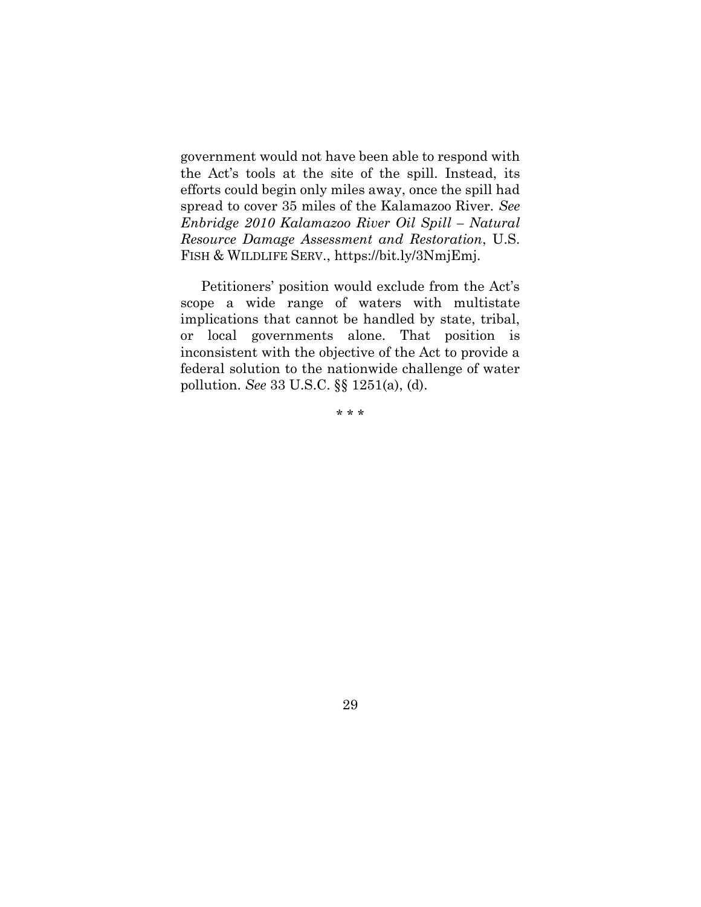<span id="page-40-1"></span>government would not have been able to respond with the Act's tools at the site of the spill. Instead, its efforts could begin only miles away, once the spill had spread to cover 35 miles of the Kalamazoo River. *See Enbridge 2010 Kalamazoo River Oil Spill – Natural Resource Damage Assessment and Restoration*, U.S. FISH & WILDLIFE SERV., https://bit.ly/3NmjEmj.

Petitioners' position would exclude from the Act's scope a wide range of waters with multistate implications that cannot be handled by state, tribal, or local governments alone. That position is inconsistent with the objective of the Act to provide a federal solution to the nationwide challenge of water pollution. *See* 33 U.S.C. §§ 1251(a), (d).

<span id="page-40-0"></span>\* \* \*